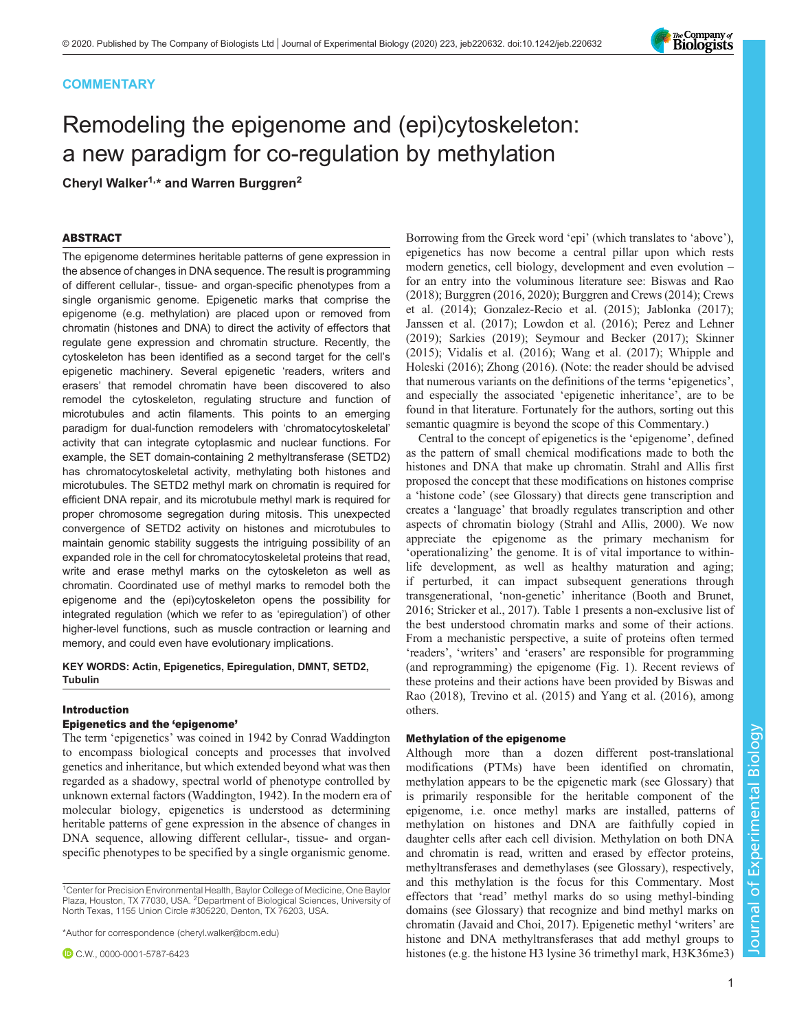# **COMMENTARY**

# Remodeling the epigenome and (epi)cytoskeleton: a new paradigm for co-regulation by methylation

Cheryl Walker<sup>1,\*</sup> and Warren Burggren<sup>2</sup>

# ABSTRACT

The epigenome determines heritable patterns of gene expression in the absence of changes in DNA sequence. The result is programming of different cellular-, tissue- and organ-specific phenotypes from a single organismic genome. Epigenetic marks that comprise the epigenome (e.g. methylation) are placed upon or removed from chromatin (histones and DNA) to direct the activity of effectors that regulate gene expression and chromatin structure. Recently, the cytoskeleton has been identified as a second target for the cell's epigenetic machinery. Several epigenetic 'readers, writers and erasers' that remodel chromatin have been discovered to also remodel the cytoskeleton, regulating structure and function of microtubules and actin filaments. This points to an emerging paradigm for dual-function remodelers with 'chromatocytoskeletal' activity that can integrate cytoplasmic and nuclear functions. For example, the SET domain-containing 2 methyltransferase (SETD2) has chromatocytoskeletal activity, methylating both histones and microtubules. The SETD2 methyl mark on chromatin is required for efficient DNA repair, and its microtubule methyl mark is required for proper chromosome segregation during mitosis. This unexpected convergence of SETD2 activity on histones and microtubules to maintain genomic stability suggests the intriguing possibility of an expanded role in the cell for chromatocytoskeletal proteins that read, write and erase methyl marks on the cytoskeleton as well as chromatin. Coordinated use of methyl marks to remodel both the epigenome and the (epi)cytoskeleton opens the possibility for integrated regulation (which we refer to as 'epiregulation') of other higher-level functions, such as muscle contraction or learning and memory, and could even have evolutionary implications.

KEY WORDS: Actin, Epigenetics, Epiregulation, DMNT, SETD2, Tubulin

# Introduction

# Epigenetics and the 'epigenome'

The term 'epigenetics' was coined in 1942 by Conrad Waddington to encompass biological concepts and processes that involved genetics and inheritance, but which extended beyond what was then regarded as a shadowy, spectral world of phenotype controlled by unknown external factors ([Waddington, 1942](#page-9-0)). In the modern era of molecular biology, epigenetics is understood as determining heritable patterns of gene expression in the absence of changes in DNA sequence, allowing different cellular-, tissue- and organspecific phenotypes to be specified by a single organismic genome.

<sup>1</sup> Center for Precision Environmental Health, Baylor College of Medicine, One Baylor Plaza, Houston, TX 77030, USA. <sup>2</sup>Department of Biological Sciences, University of North Texas, 1155 Union Circle #305220, Denton, TX 76203, USA.

\*Author for correspondence [\(cheryl.walker@bcm.edu](mailto:cheryl.walker@bcm.edu))

C.W., [0000-0001-5787-6423](http://orcid.org/0000-0001-5787-6423)

Borrowing from the Greek word 'epi' (which translates to 'above'), epigenetics has now become a central pillar upon which rests modern genetics, cell biology, development and even evolution – for an entry into the voluminous literature see: [Biswas and Rao](#page-7-0) [\(2018\)](#page-7-0); [Burggren \(2016](#page-7-0), [2020\)](#page-7-0); [Burggren and Crews \(2014\); Crews](#page-7-0) [et al. \(2014\); Gonzalez-Recio et al. \(2015\)](#page-7-0); [Jablonka \(2017\)](#page-7-0); [Janssen et al. \(2017\); Lowdon et al. \(2016\); Perez and Lehner](#page-8-0) [\(2019\)](#page-8-0); [Sarkies \(2019\)](#page-8-0); [Seymour and Becker \(2017\); Skinner](#page-8-0) [\(2015\)](#page-8-0); [Vidalis et al. \(2016\);](#page-8-0) [Wang et al. \(2017\); Whipple and](#page-9-0) [Holeski \(2016\)](#page-9-0); [Zhong \(2016\)](#page-9-0). (Note: the reader should be advised that numerous variants on the definitions of the terms 'epigenetics', and especially the associated 'epigenetic inheritance', are to be found in that literature. Fortunately for the authors, sorting out this semantic quagmire is beyond the scope of this Commentary.)

Central to the concept of epigenetics is the 'epigenome', defined as the pattern of small chemical modifications made to both the histones and DNA that make up chromatin. Strahl and Allis first proposed the concept that these modifications on histones comprise a 'histone code' (see Glossary) that directs gene transcription and creates a 'language' that broadly regulates transcription and other aspects of chromatin biology [\(Strahl and Allis, 2000](#page-8-0)). We now appreciate the epigenome as the primary mechanism for 'operationalizing' the genome. It is of vital importance to withinlife development, as well as healthy maturation and aging; if perturbed, it can impact subsequent generations through transgenerational, 'non-genetic' inheritance [\(Booth and Brunet,](#page-7-0) [2016;](#page-7-0) [Stricker et al., 2017\)](#page-8-0). [Table 1](#page-2-0) presents a non-exclusive list of the best understood chromatin marks and some of their actions. From a mechanistic perspective, a suite of proteins often termed 'readers', 'writers' and 'erasers' are responsible for programming (and reprogramming) the epigenome ([Fig. 1](#page-2-0)). Recent reviews of these proteins and their actions have been provided by [Biswas and](#page-7-0) [Rao \(2018\),](#page-7-0) [Trevino et al. \(2015\)](#page-8-0) and [Yang et al. \(2016\),](#page-9-0) among others.

# Methylation of the epigenome

Although more than a dozen different post-translational modifications (PTMs) have been identified on chromatin, methylation appears to be the epigenetic mark (see Glossary) that is primarily responsible for the heritable component of the epigenome, i.e. once methyl marks are installed, patterns of methylation on histones and DNA are faithfully copied in daughter cells after each cell division. Methylation on both DNA and chromatin is read, written and erased by effector proteins, methyltransferases and demethylases (see Glossary), respectively, and this methylation is the focus for this Commentary. Most effectors that 'read' methyl marks do so using methyl-binding domains (see Glossary) that recognize and bind methyl marks on chromatin [\(Javaid and Choi, 2017\)](#page-8-0). Epigenetic methyl 'writers' are histone and DNA methyltransferases that add methyl groups to histones (e.g. the histone H3 lysine 36 trimethyl mark, H3K36me3)

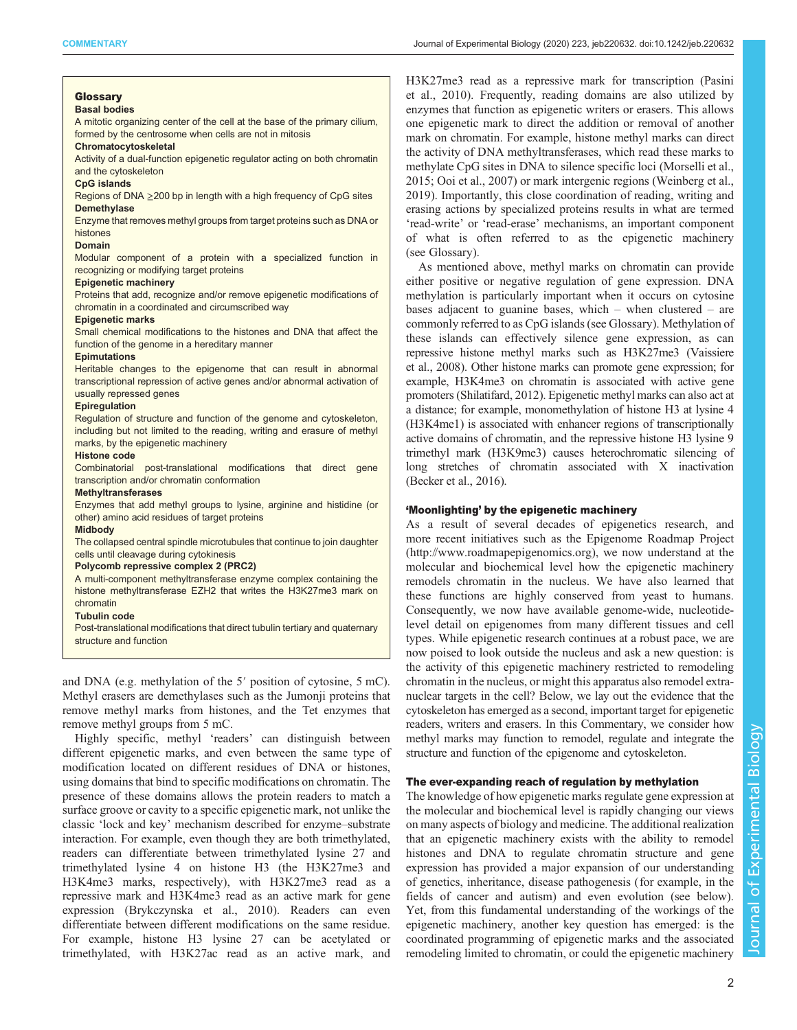# Glossary

## Basal bodies

A mitotic organizing center of the cell at the base of the primary cilium, formed by the centrosome when cells are not in mitosis

#### Chromatocytoskeletal

Activity of a dual-function epigenetic regulator acting on both chromatin and the cytoskeleton

#### CpG islands

Regions of DNA ≥200 bp in length with a high frequency of CpG sites Demethylase

Enzyme that removes methyl groups from target proteins such as DNA or histones

#### Domain

Modular component of a protein with a specialized function in recognizing or modifying target proteins

#### Epigenetic machinery

Proteins that add, recognize and/or remove epigenetic modifications of chromatin in a coordinated and circumscribed way

#### Epigenetic marks

Small chemical modifications to the histones and DNA that affect the function of the genome in a hereditary manner

#### **Epimutations**

Heritable changes to the epigenome that can result in abnormal transcriptional repression of active genes and/or abnormal activation of usually repressed genes

## **Epiregulation**

Regulation of structure and function of the genome and cytoskeleton, including but not limited to the reading, writing and erasure of methyl marks, by the epigenetic machinery

#### Histone code

Combinatorial post-translational modifications that direct gene transcription and/or chromatin conformation

#### **Methyltransferases**

Enzymes that add methyl groups to lysine, arginine and histidine (or other) amino acid residues of target proteins

## Midbody

The collapsed central spindle microtubules that continue to join daughter cells until cleavage during cytokinesis

## Polycomb repressive complex 2 (PRC2)

A multi-component methyltransferase enzyme complex containing the histone methyltransferase EZH2 that writes the H3K27me3 mark on chromatin

#### Tubulin code

Post-translational modifications that direct tubulin tertiary and quaternary structure and function

and DNA (e.g. methylation of the 5′ position of cytosine, 5 mC). Methyl erasers are demethylases such as the Jumonji proteins that remove methyl marks from histones, and the Tet enzymes that remove methyl groups from 5 mC.

Highly specific, methyl 'readers' can distinguish between different epigenetic marks, and even between the same type of modification located on different residues of DNA or histones, using domains that bind to specific modifications on chromatin. The presence of these domains allows the protein readers to match a surface groove or cavity to a specific epigenetic mark, not unlike the classic 'lock and key' mechanism described for enzyme–substrate interaction. For example, even though they are both trimethylated, readers can differentiate between trimethylated lysine 27 and trimethylated lysine 4 on histone H3 (the H3K27me3 and H3K4me3 marks, respectively), with H3K27me3 read as a repressive mark and H3K4me3 read as an active mark for gene expression ([Brykczynska et al., 2010\)](#page-7-0). Readers can even differentiate between different modifications on the same residue. For example, histone H3 lysine 27 can be acetylated or trimethylated, with H3K27ac read as an active mark, and

H3K27me3 read as a repressive mark for transcription [\(Pasini](#page-8-0) [et al., 2010\)](#page-8-0). Frequently, reading domains are also utilized by enzymes that function as epigenetic writers or erasers. This allows one epigenetic mark to direct the addition or removal of another mark on chromatin. For example, histone methyl marks can direct the activity of DNA methyltransferases, which read these marks to methylate CpG sites in DNA to silence specific loci ([Morselli et al.,](#page-8-0) [2015; Ooi et al., 2007](#page-8-0)) or mark intergenic regions [\(Weinberg et al.,](#page-9-0) [2019\)](#page-9-0). Importantly, this close coordination of reading, writing and erasing actions by specialized proteins results in what are termed 'read-write' or 'read-erase' mechanisms, an important component of what is often referred to as the epigenetic machinery (see Glossary).

As mentioned above, methyl marks on chromatin can provide either positive or negative regulation of gene expression. DNA methylation is particularly important when it occurs on cytosine bases adjacent to guanine bases, which – when clustered – are commonly referred to as CpG islands (see Glossary). Methylation of these islands can effectively silence gene expression, as can repressive histone methyl marks such as H3K27me3 ([Vaissiere](#page-8-0) [et al., 2008\)](#page-8-0). Other histone marks can promote gene expression; for example, H3K4me3 on chromatin is associated with active gene promoters ([Shilatifard, 2012](#page-8-0)). Epigenetic methyl marks can also act at a distance; for example, monomethylation of histone H3 at lysine 4 (H3K4me1) is associated with enhancer regions of transcriptionally active domains of chromatin, and the repressive histone H3 lysine 9 trimethyl mark (H3K9me3) causes heterochromatic silencing of long stretches of chromatin associated with X inactivation [\(Becker et al., 2016](#page-7-0)).

## 'Moonlighting' by the epigenetic machinery

As a result of several decades of epigenetics research, and more recent initiatives such as the Epigenome Roadmap Project [\(http://www.roadmapepigenomics.org\)](http://www.roadmapepigenomics.org), we now understand at the molecular and biochemical level how the epigenetic machinery remodels chromatin in the nucleus. We have also learned that these functions are highly conserved from yeast to humans. Consequently, we now have available genome-wide, nucleotidelevel detail on epigenomes from many different tissues and cell types. While epigenetic research continues at a robust pace, we are now poised to look outside the nucleus and ask a new question: is the activity of this epigenetic machinery restricted to remodeling chromatin in the nucleus, or might this apparatus also remodel extranuclear targets in the cell? Below, we lay out the evidence that the cytoskeleton has emerged as a second, important target for epigenetic readers, writers and erasers. In this Commentary, we consider how methyl marks may function to remodel, regulate and integrate the structure and function of the epigenome and cytoskeleton.

## The ever-expanding reach of regulation by methylation

The knowledge of how epigenetic marks regulate gene expression at the molecular and biochemical level is rapidly changing our views on many aspects of biology and medicine. The additional realization that an epigenetic machinery exists with the ability to remodel histones and DNA to regulate chromatin structure and gene expression has provided a major expansion of our understanding of genetics, inheritance, disease pathogenesis (for example, in the fields of cancer and autism) and even evolution (see below). Yet, from this fundamental understanding of the workings of the epigenetic machinery, another key question has emerged: is the coordinated programming of epigenetic marks and the associated remodeling limited to chromatin, or could the epigenetic machinery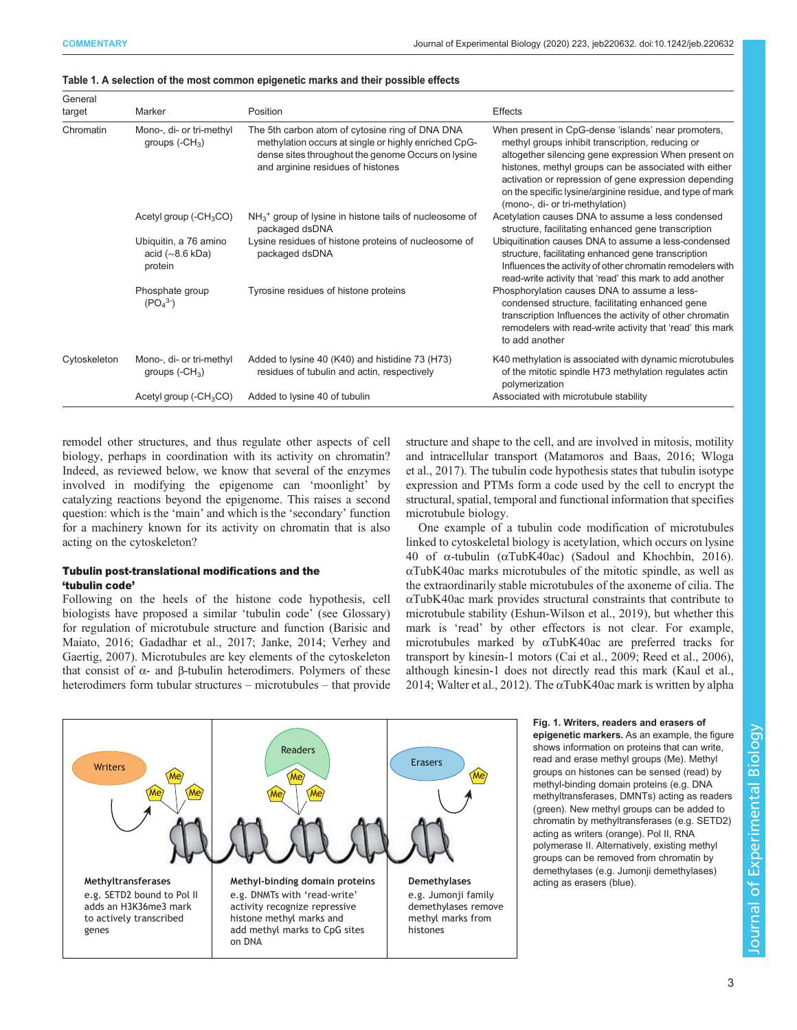| General<br>target | Marker                                                    | Position                                                                                                                                                                                           | <b>Effects</b>                                                                                                                                                                                                                                                                                                                                                                    |  |  |  |
|-------------------|-----------------------------------------------------------|----------------------------------------------------------------------------------------------------------------------------------------------------------------------------------------------------|-----------------------------------------------------------------------------------------------------------------------------------------------------------------------------------------------------------------------------------------------------------------------------------------------------------------------------------------------------------------------------------|--|--|--|
| Chromatin         | Mono-, di- or tri-methyl<br>groups $(-CH3)$               | The 5th carbon atom of cytosine ring of DNA DNA<br>methylation occurs at single or highly enriched CpG-<br>dense sites throughout the genome Occurs on lysine<br>and arginine residues of histones | When present in CpG-dense 'islands' near promoters,<br>methyl groups inhibit transcription, reducing or<br>altogether silencing gene expression When present on<br>histones, methyl groups can be associated with either<br>activation or repression of gene expression depending<br>on the specific lysine/arginine residue, and type of mark<br>(mono-, di- or tri-methylation) |  |  |  |
|                   | Acetyl group $(-CH3CO)$                                   | NH <sub>3</sub> <sup>+</sup> group of lysine in histone tails of nucleosome of<br>packaged dsDNA                                                                                                   | Acetylation causes DNA to assume a less condensed<br>structure, facilitating enhanced gene transcription                                                                                                                                                                                                                                                                          |  |  |  |
|                   | Ubiquitin, a 76 amino<br>acid $(\sim 8.6$ kDa)<br>protein | Lysine residues of histone proteins of nucleosome of<br>packaged dsDNA                                                                                                                             | Ubiquitination causes DNA to assume a less-condensed<br>structure, facilitating enhanced gene transcription<br>Influences the activity of other chromatin remodelers with<br>read-write activity that 'read' this mark to add another                                                                                                                                             |  |  |  |
|                   | Phosphate group<br>$(PO43-)$                              | Tyrosine residues of histone proteins                                                                                                                                                              | Phosphorylation causes DNA to assume a less-<br>condensed structure, facilitating enhanced gene<br>transcription Influences the activity of other chromatin<br>remodelers with read-write activity that 'read' this mark<br>to add another                                                                                                                                        |  |  |  |
| Cytoskeleton      | Mono-, di- or tri-methyl<br>groups $(-CH3)$               | Added to lysine 40 (K40) and histidine 73 (H73)<br>residues of tubulin and actin, respectively                                                                                                     | K40 methylation is associated with dynamic microtubules<br>of the mitotic spindle H73 methylation regulates actin<br>polymerization                                                                                                                                                                                                                                               |  |  |  |
|                   | Acetyl group $(-CH3CO)$                                   | Added to lysine 40 of tubulin                                                                                                                                                                      | Associated with microtubule stability                                                                                                                                                                                                                                                                                                                                             |  |  |  |

## <span id="page-2-0"></span>Table 1. A selection of the most common epigenetic marks and their possible effects

remodel other structures, and thus regulate other aspects of cell biology, perhaps in coordination with its activity on chromatin? Indeed, as reviewed below, we know that several of the enzymes involved in modifying the epigenome can 'moonlight' by catalyzing reactions beyond the epigenome. This raises a second question: which is the 'main' and which is the 'secondary' function for a machinery known for its activity on chromatin that is also acting on the cytoskeleton?

# Tubulin post-translational modifications and the 'tubulin code'

Following on the heels of the histone code hypothesis, cell biologists have proposed a similar 'tubulin code' (see Glossary) for regulation of microtubule structure and function [\(Barisic and](#page-7-0) [Maiato, 2016](#page-7-0); [Gadadhar et al., 2017;](#page-7-0) [Janke, 2014; Verhey and](#page-8-0) [Gaertig, 2007](#page-8-0)). Microtubules are key elements of the cytoskeleton that consist of  $α$ - and  $β$ -tubulin heterodimers. Polymers of these heterodimers form tubular structures – microtubules – that provide structure and shape to the cell, and are involved in mitosis, motility and intracellular transport [\(Matamoros and Baas, 2016;](#page-8-0) [Wloga](#page-9-0) [et al., 2017\)](#page-9-0). The tubulin code hypothesis states that tubulin isotype expression and PTMs form a code used by the cell to encrypt the structural, spatial, temporal and functional information that specifies microtubule biology.

One example of a tubulin code modification of microtubules linked to cytoskeletal biology is acetylation, which occurs on lysine 40 of α-tubulin (αTubK40ac) [\(Sadoul and Khochbin, 2016\)](#page-8-0).  $\alpha$ TubK40ac marks microtubules of the mitotic spindle, as well as the extraordinarily stable microtubules of the axoneme of cilia. The αTubK40ac mark provides structural constraints that contribute to microtubule stability ([Eshun-Wilson et al., 2019\)](#page-7-0), but whether this mark is 'read' by other effectors is not clear. For example, microtubules marked by αTubK40ac are preferred tracks for transport by kinesin-1 motors ([Cai et al., 2009;](#page-7-0) [Reed et al., 2006\)](#page-8-0), although kinesin-1 does not directly read this mark ([Kaul et al.,](#page-8-0) [2014;](#page-8-0) [Walter et al., 2012](#page-9-0)). The  $\alpha$ TubK40ac mark is written by alpha



Fig. 1. Writers, readers and erasers of epigenetic markers. As an example, the figure shows information on proteins that can write, read and erase methyl groups (Me). Methyl groups on histones can be sensed (read) by methyl-binding domain proteins (e.g. DNA methyltransferases, DMNTs) acting as readers (green). New methyl groups can be added to chromatin by methyltransferases (e.g. SETD2) acting as writers (orange). Pol II, RNA polymerase II. Alternatively, existing methyl groups can be removed from chromatin by demethylases (e.g. Jumonji demethylases) acting as erasers (blue).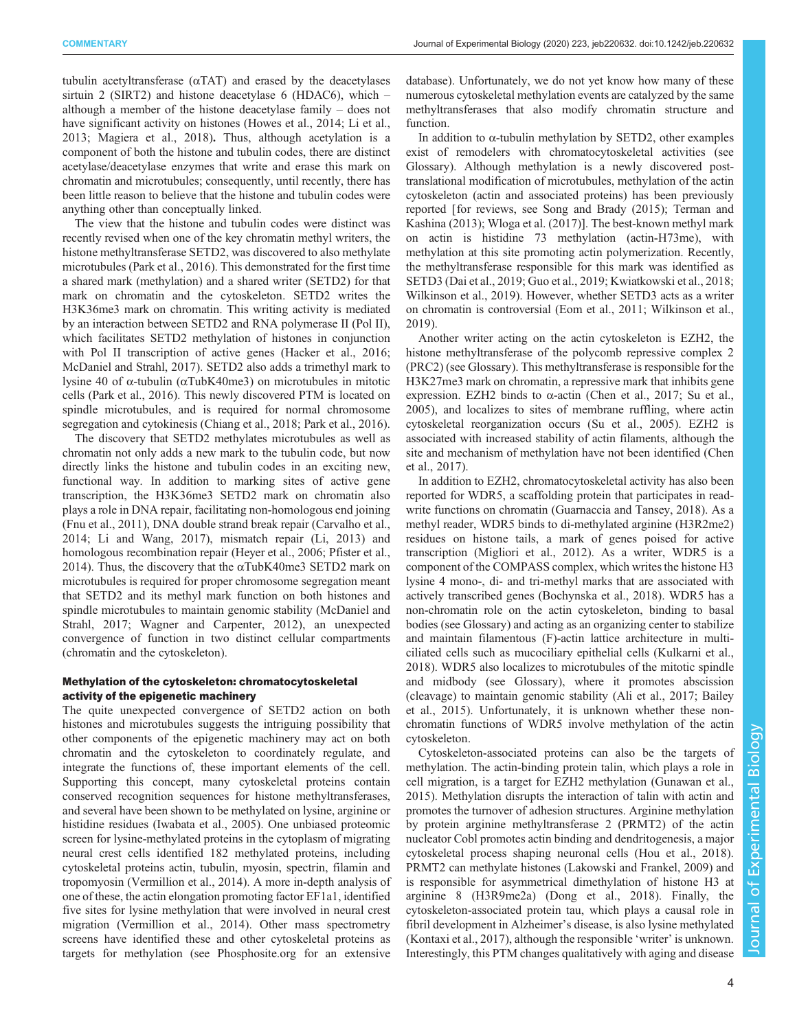tubulin acetyltransferase (αTAT) and erased by the deacetylases sirtuin 2 (SIRT2) and histone deacetylase 6 (HDAC6), which – although a member of the histone deacetylase family – does not have significant activity on histones [\(Howes et al., 2014](#page-7-0); [Li et al.,](#page-8-0) [2013](#page-8-0); [Magiera et al., 2018\)](#page-8-0). Thus, although acetylation is a component of both the histone and tubulin codes, there are distinct acetylase/deacetylase enzymes that write and erase this mark on chromatin and microtubules; consequently, until recently, there has been little reason to believe that the histone and tubulin codes were anything other than conceptually linked.

The view that the histone and tubulin codes were distinct was recently revised when one of the key chromatin methyl writers, the histone methyltransferase SETD2, was discovered to also methylate microtubules ([Park et al., 2016\)](#page-8-0). This demonstrated for the first time a shared mark (methylation) and a shared writer (SETD2) for that mark on chromatin and the cytoskeleton. SETD2 writes the H3K36me3 mark on chromatin. This writing activity is mediated by an interaction between SETD2 and RNA polymerase II (Pol II), which facilitates SETD2 methylation of histones in conjunction with Pol II transcription of active genes [\(Hacker et al., 2016](#page-7-0); [McDaniel and Strahl, 2017\)](#page-8-0). SETD2 also adds a trimethyl mark to lysine 40 of α-tubulin (αTubK40me3) on microtubules in mitotic cells ([Park et al., 2016](#page-8-0)). This newly discovered PTM is located on spindle microtubules, and is required for normal chromosome segregation and cytokinesis [\(Chiang et al., 2018;](#page-7-0) [Park et al., 2016\)](#page-8-0).

The discovery that SETD2 methylates microtubules as well as chromatin not only adds a new mark to the tubulin code, but now directly links the histone and tubulin codes in an exciting new, functional way. In addition to marking sites of active gene transcription, the H3K36me3 SETD2 mark on chromatin also plays a role in DNA repair, facilitating non-homologous end joining [\(Fnu et al., 2011\)](#page-7-0), DNA double strand break repair ([Carvalho et al.,](#page-7-0) [2014](#page-7-0); [Li and Wang, 2017](#page-8-0)), mismatch repair [\(Li, 2013\)](#page-8-0) and homologous recombination repair ([Heyer et al., 2006;](#page-7-0) [Pfister et al.,](#page-8-0) [2014](#page-8-0)). Thus, the discovery that the  $\alpha$ TubK40me3 SETD2 mark on microtubules is required for proper chromosome segregation meant that SETD2 and its methyl mark function on both histones and spindle microtubules to maintain genomic stability ([McDaniel and](#page-8-0) [Strahl, 2017](#page-8-0); [Wagner and Carpenter, 2012](#page-9-0)), an unexpected convergence of function in two distinct cellular compartments (chromatin and the cytoskeleton).

# Methylation of the cytoskeleton: chromatocytoskeletal activity of the epigenetic machinery

The quite unexpected convergence of SETD2 action on both histones and microtubules suggests the intriguing possibility that other components of the epigenetic machinery may act on both chromatin and the cytoskeleton to coordinately regulate, and integrate the functions of, these important elements of the cell. Supporting this concept, many cytoskeletal proteins contain conserved recognition sequences for histone methyltransferases, and several have been shown to be methylated on lysine, arginine or histidine residues ([Iwabata et al., 2005](#page-7-0)). One unbiased proteomic screen for lysine-methylated proteins in the cytoplasm of migrating neural crest cells identified 182 methylated proteins, including cytoskeletal proteins actin, tubulin, myosin, spectrin, filamin and tropomyosin ([Vermillion et al., 2014\)](#page-8-0). A more in-depth analysis of one of these, the actin elongation promoting factor EF1a1, identified five sites for lysine methylation that were involved in neural crest migration ([Vermillion et al., 2014](#page-8-0)). Other mass spectrometry screens have identified these and other cytoskeletal proteins as targets for methylation (see [Phosphosite.org](https://www.phosphosite.org/homeAction.action) for an extensive

database). Unfortunately, we do not yet know how many of these numerous cytoskeletal methylation events are catalyzed by the same methyltransferases that also modify chromatin structure and function.

In addition to α-tubulin methylation by SETD2, other examples exist of remodelers with chromatocytoskeletal activities (see Glossary). Although methylation is a newly discovered posttranslational modification of microtubules, methylation of the actin cytoskeleton (actin and associated proteins) has been previously reported [for reviews, see [Song and Brady \(2015\); Terman and](#page-8-0) [Kashina \(2013\)](#page-8-0); [Wloga et al. \(2017\)\]](#page-9-0). The best-known methyl mark on actin is histidine 73 methylation (actin-H73me), with methylation at this site promoting actin polymerization. Recently, the methyltransferase responsible for this mark was identified as SETD3 [\(Dai et al., 2019](#page-7-0); [Guo et al., 2019;](#page-7-0) [Kwiatkowski et al., 2018](#page-8-0); [Wilkinson et al., 2019](#page-9-0)). However, whether SETD3 acts as a writer on chromatin is controversial ([Eom et al., 2011](#page-7-0); [Wilkinson et al.,](#page-9-0) [2019\)](#page-9-0).

Another writer acting on the actin cytoskeleton is EZH2, the histone methyltransferase of the polycomb repressive complex 2 (PRC2) (see Glossary). This methyltransferase is responsible for the H3K27me3 mark on chromatin, a repressive mark that inhibits gene expression. EZH2 binds to α-actin [\(Chen et al., 2017;](#page-7-0) [Su et al.,](#page-8-0) [2005\)](#page-8-0), and localizes to sites of membrane ruffling, where actin cytoskeletal reorganization occurs ([Su et al., 2005](#page-8-0)). EZH2 is associated with increased stability of actin filaments, although the site and mechanism of methylation have not been identified ([Chen](#page-7-0) [et al., 2017\)](#page-7-0).

In addition to EZH2, chromatocytoskeletal activity has also been reported for WDR5, a scaffolding protein that participates in readwrite functions on chromatin ([Guarnaccia and Tansey, 2018\)](#page-7-0). As a methyl reader, WDR5 binds to di-methylated arginine (H3R2me2) residues on histone tails, a mark of genes poised for active transcription [\(Migliori et al., 2012](#page-8-0)). As a writer, WDR5 is a component of the COMPASS complex, which writes the histone H3 lysine 4 mono-, di- and tri-methyl marks that are associated with actively transcribed genes ([Bochynska et al., 2018\)](#page-7-0). WDR5 has a non-chromatin role on the actin cytoskeleton, binding to basal bodies (see Glossary) and acting as an organizing center to stabilize and maintain filamentous (F)-actin lattice architecture in multiciliated cells such as mucociliary epithelial cells [\(Kulkarni et al.,](#page-8-0) [2018\)](#page-8-0). WDR5 also localizes to microtubules of the mitotic spindle and midbody (see Glossary), where it promotes abscission (cleavage) to maintain genomic stability ([Ali et al., 2017; Bailey](#page-7-0) [et al., 2015](#page-7-0)). Unfortunately, it is unknown whether these nonchromatin functions of WDR5 involve methylation of the actin cytoskeleton.

Cytoskeleton-associated proteins can also be the targets of methylation. The actin-binding protein talin, which plays a role in cell migration, is a target for EZH2 methylation [\(Gunawan et al.,](#page-7-0) [2015\)](#page-7-0). Methylation disrupts the interaction of talin with actin and promotes the turnover of adhesion structures. Arginine methylation by protein arginine methyltransferase 2 (PRMT2) of the actin nucleator Cobl promotes actin binding and dendritogenesis, a major cytoskeletal process shaping neuronal cells ([Hou et al., 2018\)](#page-7-0). PRMT2 can methylate histones ([Lakowski and Frankel, 2009\)](#page-8-0) and is responsible for asymmetrical dimethylation of histone H3 at arginine 8 (H3R9me2a) [\(Dong et al., 2018](#page-7-0)). Finally, the cytoskeleton-associated protein tau, which plays a causal role in fibril development in Alzheimer's disease, is also lysine methylated [\(Kontaxi et al., 2017](#page-8-0)), although the responsible 'writer' is unknown. Interestingly, this PTM changes qualitatively with aging and disease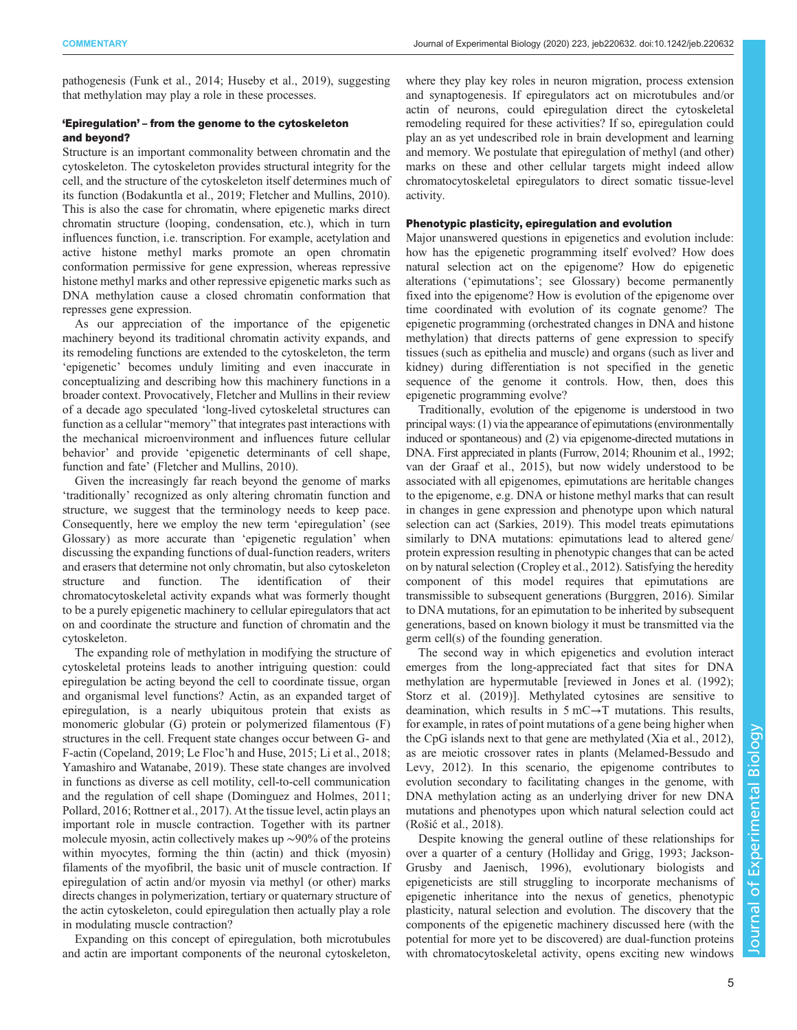pathogenesis ([Funk et al., 2014](#page-7-0); [Huseby et al., 2019\)](#page-7-0), suggesting that methylation may play a role in these processes.

# 'Epiregulation' – from the genome to the cytoskeleton and beyond?

Structure is an important commonality between chromatin and the cytoskeleton. The cytoskeleton provides structural integrity for the cell, and the structure of the cytoskeleton itself determines much of its function ([Bodakuntla et al., 2019; Fletcher and Mullins, 2010\)](#page-7-0). This is also the case for chromatin, where epigenetic marks direct chromatin structure (looping, condensation, etc.), which in turn influences function, i.e. transcription. For example, acetylation and active histone methyl marks promote an open chromatin conformation permissive for gene expression, whereas repressive histone methyl marks and other repressive epigenetic marks such as DNA methylation cause a closed chromatin conformation that represses gene expression.

As our appreciation of the importance of the epigenetic machinery beyond its traditional chromatin activity expands, and its remodeling functions are extended to the cytoskeleton, the term 'epigenetic' becomes unduly limiting and even inaccurate in conceptualizing and describing how this machinery functions in a broader context. Provocatively, Fletcher and Mullins in their review of a decade ago speculated 'long-lived cytoskeletal structures can function as a cellular "memory" that integrates past interactions with the mechanical microenvironment and influences future cellular behavior' and provide 'epigenetic determinants of cell shape, function and fate' ([Fletcher and Mullins, 2010\)](#page-7-0).

Given the increasingly far reach beyond the genome of marks 'traditionally' recognized as only altering chromatin function and structure, we suggest that the terminology needs to keep pace. Consequently, here we employ the new term 'epiregulation' (see Glossary) as more accurate than 'epigenetic regulation' when discussing the expanding functions of dual-function readers, writers and erasers that determine not only chromatin, but also cytoskeleton structure and function. The identification of their chromatocytoskeletal activity expands what was formerly thought to be a purely epigenetic machinery to cellular epiregulators that act on and coordinate the structure and function of chromatin and the cytoskeleton.

The expanding role of methylation in modifying the structure of cytoskeletal proteins leads to another intriguing question: could epiregulation be acting beyond the cell to coordinate tissue, organ and organismal level functions? Actin, as an expanded target of epiregulation, is a nearly ubiquitous protein that exists as monomeric globular (G) protein or polymerized filamentous (F) structures in the cell. Frequent state changes occur between G- and F-actin [\(Copeland, 2019](#page-7-0); Le Floc'[h and Huse, 2015; Li et al., 2018](#page-8-0); [Yamashiro and Watanabe, 2019\)](#page-9-0). These state changes are involved in functions as diverse as cell motility, cell-to-cell communication and the regulation of cell shape [\(Dominguez and Holmes, 2011](#page-7-0); [Pollard, 2016](#page-8-0); [Rottner et al., 2017\)](#page-8-0). At the tissue level, actin plays an important role in muscle contraction. Together with its partner molecule myosin, actin collectively makes up ∼90% of the proteins within myocytes, forming the thin (actin) and thick (myosin) filaments of the myofibril, the basic unit of muscle contraction. If epiregulation of actin and/or myosin via methyl (or other) marks directs changes in polymerization, tertiary or quaternary structure of the actin cytoskeleton, could epiregulation then actually play a role in modulating muscle contraction?

Expanding on this concept of epiregulation, both microtubules and actin are important components of the neuronal cytoskeleton,

where they play key roles in neuron migration, process extension and synaptogenesis. If epiregulators act on microtubules and/or actin of neurons, could epiregulation direct the cytoskeletal remodeling required for these activities? If so, epiregulation could play an as yet undescribed role in brain development and learning and memory. We postulate that epiregulation of methyl (and other) marks on these and other cellular targets might indeed allow chromatocytoskeletal epiregulators to direct somatic tissue-level activity.

# Phenotypic plasticity, epiregulation and evolution

Major unanswered questions in epigenetics and evolution include: how has the epigenetic programming itself evolved? How does natural selection act on the epigenome? How do epigenetic alterations ('epimutations'; see Glossary) become permanently fixed into the epigenome? How is evolution of the epigenome over time coordinated with evolution of its cognate genome? The epigenetic programming (orchestrated changes in DNA and histone methylation) that directs patterns of gene expression to specify tissues (such as epithelia and muscle) and organs (such as liver and kidney) during differentiation is not specified in the genetic sequence of the genome it controls. How, then, does this epigenetic programming evolve?

Traditionally, evolution of the epigenome is understood in two principal ways: (1) via the appearance of epimutations (environmentally induced or spontaneous) and (2) via epigenome-directed mutations in DNA. First appreciated in plants ([Furrow, 2014;](#page-7-0) [Rhounim et al., 1992](#page-8-0); [van der Graaf et al., 2015\)](#page-8-0), but now widely understood to be associated with all epigenomes, epimutations are heritable changes to the epigenome, e.g. DNA or histone methyl marks that can result in changes in gene expression and phenotype upon which natural selection can act [\(Sarkies, 2019\)](#page-8-0). This model treats epimutations similarly to DNA mutations: epimutations lead to altered gene/ protein expression resulting in phenotypic changes that can be acted on by natural selection [\(Cropley et al., 2012\)](#page-7-0). Satisfying the heredity component of this model requires that epimutations are transmissible to subsequent generations [\(Burggren, 2016](#page-7-0)). Similar to DNA mutations, for an epimutation to be inherited by subsequent generations, based on known biology it must be transmitted via the germ cell(s) of the founding generation.

The second way in which epigenetics and evolution interact emerges from the long-appreciated fact that sites for DNA methylation are hypermutable [reviewed in [Jones et al. \(1992\)](#page-8-0); [Storz et al. \(2019\)](#page-8-0)]. Methylated cytosines are sensitive to deamination, which results in  $5 \text{ mC} \rightarrow T$  mutations. This results, for example, in rates of point mutations of a gene being higher when the CpG islands next to that gene are methylated [\(Xia et al., 2012\)](#page-9-0), as are meiotic crossover rates in plants [\(Melamed-Bessudo and](#page-8-0) [Levy, 2012\)](#page-8-0). In this scenario, the epigenome contributes to evolution secondary to facilitating changes in the genome, with DNA methylation acting as an underlying driver for new DNA mutations and phenotypes upon which natural selection could act (Rošić[et al., 2018\)](#page-8-0).

Despite knowing the general outline of these relationships for over a quarter of a century [\(Holliday and Grigg, 1993;](#page-7-0) [Jackson-](#page-8-0)[Grusby and Jaenisch, 1996\)](#page-8-0), evolutionary biologists and epigeneticists are still struggling to incorporate mechanisms of epigenetic inheritance into the nexus of genetics, phenotypic plasticity, natural selection and evolution. The discovery that the components of the epigenetic machinery discussed here (with the potential for more yet to be discovered) are dual-function proteins with chromatocytoskeletal activity, opens exciting new windows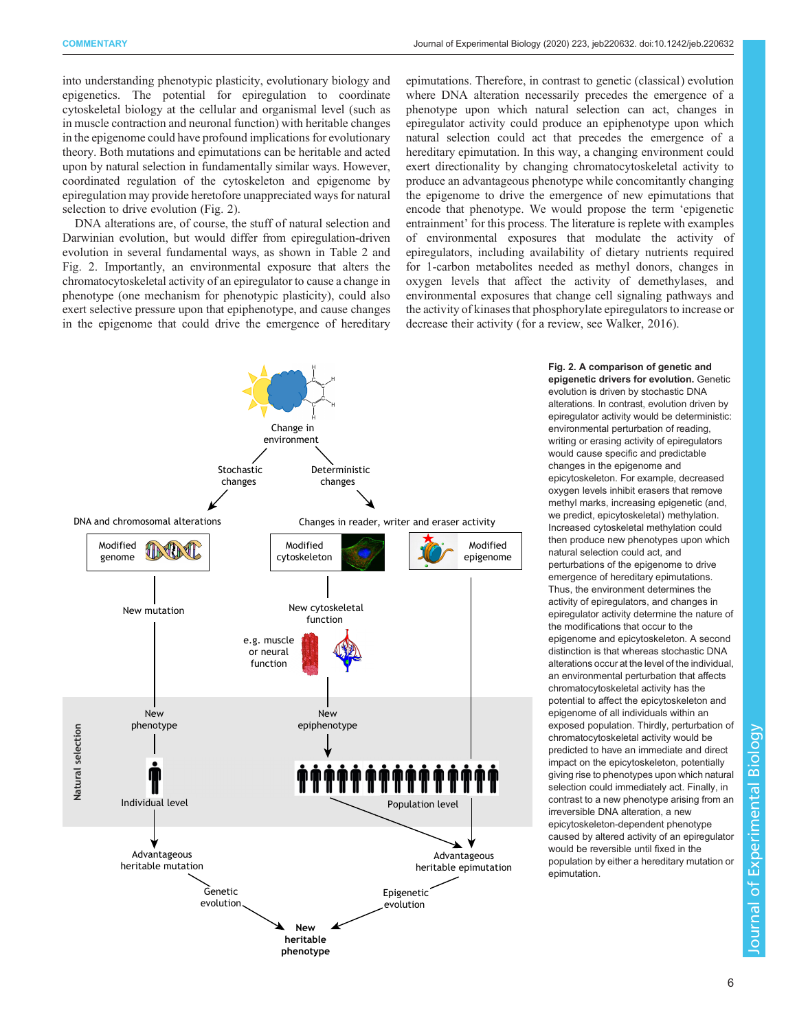<span id="page-5-0"></span>into understanding phenotypic plasticity, evolutionary biology and epigenetics. The potential for epiregulation to coordinate cytoskeletal biology at the cellular and organismal level (such as in muscle contraction and neuronal function) with heritable changes in the epigenome could have profound implications for evolutionary theory. Both mutations and epimutations can be heritable and acted upon by natural selection in fundamentally similar ways. However, coordinated regulation of the cytoskeleton and epigenome by epiregulation may provide heretofore unappreciated ways for natural selection to drive evolution (Fig. 2).

DNA alterations are, of course, the stuff of natural selection and Darwinian evolution, but would differ from epiregulation-driven evolution in several fundamental ways, as shown in [Table 2](#page-6-0) and Fig. 2. Importantly, an environmental exposure that alters the chromatocytoskeletal activity of an epiregulator to cause a change in phenotype (one mechanism for phenotypic plasticity), could also exert selective pressure upon that epiphenotype, and cause changes in the epigenome that could drive the emergence of hereditary

epimutations. Therefore, in contrast to genetic (classical) evolution where DNA alteration necessarily precedes the emergence of a phenotype upon which natural selection can act, changes in epiregulator activity could produce an epiphenotype upon which natural selection could act that precedes the emergence of a hereditary epimutation. In this way, a changing environment could exert directionality by changing chromatocytoskeletal activity to produce an advantageous phenotype while concomitantly changing the epigenome to drive the emergence of new epimutations that encode that phenotype. We would propose the term 'epigenetic entrainment' for this process. The literature is replete with examples of environmental exposures that modulate the activity of epiregulators, including availability of dietary nutrients required for 1-carbon metabolites needed as methyl donors, changes in oxygen levels that affect the activity of demethylases, and environmental exposures that change cell signaling pathways and the activity of kinases that phosphorylate epiregulators to increase or decrease their activity (for a review, see [Walker, 2016\)](#page-9-0).



Fig. 2. A comparison of genetic and epigenetic drivers for evolution. Genetic evolution is driven by stochastic DNA alterations. In contrast, evolution driven by epiregulator activity would be deterministic: environmental perturbation of reading, writing or erasing activity of epiregulators would cause specific and predictable changes in the epigenome and epicytoskeleton. For example, decreased oxygen levels inhibit erasers that remove methyl marks, increasing epigenetic (and, we predict, epicytoskeletal) methylation. Increased cytoskeletal methylation could then produce new phenotypes upon which natural selection could act, and perturbations of the epigenome to drive emergence of hereditary epimutations. Thus, the environment determines the activity of epiregulators, and changes in epiregulator activity determine the nature of the modifications that occur to the epigenome and epicytoskeleton. A second distinction is that whereas stochastic DNA alterations occur at the level of the individual, an environmental perturbation that affects chromatocytoskeletal activity has the potential to affect the epicytoskeleton and epigenome of all individuals within an exposed population. Thirdly, perturbation of chromatocytoskeletal activity would be predicted to have an immediate and direct impact on the epicytoskeleton, potentially giving rise to phenotypes upon which natural selection could immediately act. Finally, in contrast to a new phenotype arising from an irreversible DNA alteration, a new epicytoskeleton-dependent phenotype caused by altered activity of an epiregulator would be reversible until fixed in the population by either a hereditary mutation or epimutation.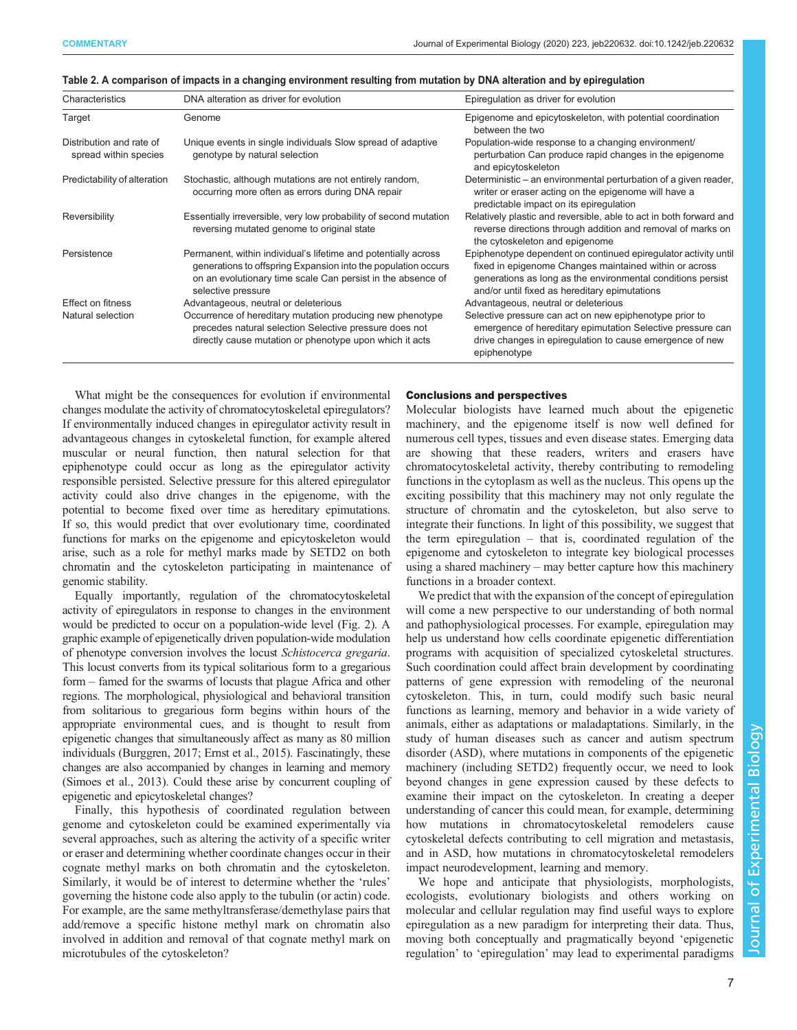| Characteristics                                   | DNA alteration as driver for evolution                                                                                                                                                                               | Epiregulation as driver for evolution                                                                                                                                                                                                     |
|---------------------------------------------------|----------------------------------------------------------------------------------------------------------------------------------------------------------------------------------------------------------------------|-------------------------------------------------------------------------------------------------------------------------------------------------------------------------------------------------------------------------------------------|
| Target                                            | Genome                                                                                                                                                                                                               | Epigenome and epicytoskeleton, with potential coordination<br>between the two                                                                                                                                                             |
| Distribution and rate of<br>spread within species | Unique events in single individuals Slow spread of adaptive<br>genotype by natural selection                                                                                                                         | Population-wide response to a changing environment/<br>perturbation Can produce rapid changes in the epigenome<br>and epicytoskeleton                                                                                                     |
| Predictability of alteration                      | Stochastic, although mutations are not entirely random,<br>occurring more often as errors during DNA repair                                                                                                          | Deterministic – an environmental perturbation of a given reader,<br>writer or eraser acting on the epigenome will have a<br>predictable impact on its epiregulation                                                                       |
| Reversibility                                     | Essentially irreversible, very low probability of second mutation<br>reversing mutated genome to original state                                                                                                      | Relatively plastic and reversible, able to act in both forward and<br>reverse directions through addition and removal of marks on<br>the cytoskeleton and epigenome                                                                       |
| Persistence                                       | Permanent, within individual's lifetime and potentially across<br>generations to offspring Expansion into the population occurs<br>on an evolutionary time scale Can persist in the absence of<br>selective pressure | Epiphenotype dependent on continued epiregulator activity until<br>fixed in epigenome Changes maintained within or across<br>generations as long as the environmental conditions persist<br>and/or until fixed as hereditary epimutations |
| <b>Effect on fitness</b>                          | Advantageous, neutral or deleterious                                                                                                                                                                                 | Advantageous, neutral or deleterious                                                                                                                                                                                                      |
| Natural selection                                 | Occurrence of hereditary mutation producing new phenotype<br>precedes natural selection Selective pressure does not<br>directly cause mutation or phenotype upon which it acts                                       | Selective pressure can act on new epiphenotype prior to<br>emergence of hereditary epimutation Selective pressure can<br>drive changes in epiregulation to cause emergence of new<br>epiphenotype                                         |

<span id="page-6-0"></span>

|  |  | Table 2. A comparison of impacts in a changing environment resulting from mutation by DNA alteration and by epiregulation |  |  |  |
|--|--|---------------------------------------------------------------------------------------------------------------------------|--|--|--|
|  |  |                                                                                                                           |  |  |  |

What might be the consequences for evolution if environmental changes modulate the activity of chromatocytoskeletal epiregulators? If environmentally induced changes in epiregulator activity result in advantageous changes in cytoskeletal function, for example altered muscular or neural function, then natural selection for that epiphenotype could occur as long as the epiregulator activity responsible persisted. Selective pressure for this altered epiregulator activity could also drive changes in the epigenome, with the potential to become fixed over time as hereditary epimutations. If so, this would predict that over evolutionary time, coordinated functions for marks on the epigenome and epicytoskeleton would arise, such as a role for methyl marks made by SETD2 on both chromatin and the cytoskeleton participating in maintenance of genomic stability.

Equally importantly, regulation of the chromatocytoskeletal activity of epiregulators in response to changes in the environment would be predicted to occur on a population-wide level [\(Fig. 2\)](#page-5-0). A graphic example of epigenetically driven population-wide modulation of phenotype conversion involves the locust Schistocerca gregaria. This locust converts from its typical solitarious form to a gregarious form – famed for the swarms of locusts that plague Africa and other regions. The morphological, physiological and behavioral transition from solitarious to gregarious form begins within hours of the appropriate environmental cues, and is thought to result from epigenetic changes that simultaneously affect as many as 80 million individuals [\(Burggren, 2017](#page-7-0); [Ernst et al., 2015\)](#page-7-0). Fascinatingly, these changes are also accompanied by changes in learning and memory [\(Simoes et al., 2013](#page-8-0)). Could these arise by concurrent coupling of epigenetic and epicytoskeletal changes?

Finally, this hypothesis of coordinated regulation between genome and cytoskeleton could be examined experimentally via several approaches, such as altering the activity of a specific writer or eraser and determining whether coordinate changes occur in their cognate methyl marks on both chromatin and the cytoskeleton. Similarly, it would be of interest to determine whether the 'rules' governing the histone code also apply to the tubulin (or actin) code. For example, are the same methyltransferase/demethylase pairs that add/remove a specific histone methyl mark on chromatin also involved in addition and removal of that cognate methyl mark on microtubules of the cytoskeleton?

# Conclusions and perspectives

Molecular biologists have learned much about the epigenetic machinery, and the epigenome itself is now well defined for numerous cell types, tissues and even disease states. Emerging data are showing that these readers, writers and erasers have chromatocytoskeletal activity, thereby contributing to remodeling functions in the cytoplasm as well as the nucleus. This opens up the exciting possibility that this machinery may not only regulate the structure of chromatin and the cytoskeleton, but also serve to integrate their functions. In light of this possibility, we suggest that the term epiregulation – that is, coordinated regulation of the epigenome and cytoskeleton to integrate key biological processes using a shared machinery – may better capture how this machinery functions in a broader context.

We predict that with the expansion of the concept of epiregulation will come a new perspective to our understanding of both normal and pathophysiological processes. For example, epiregulation may help us understand how cells coordinate epigenetic differentiation programs with acquisition of specialized cytoskeletal structures. Such coordination could affect brain development by coordinating patterns of gene expression with remodeling of the neuronal cytoskeleton. This, in turn, could modify such basic neural functions as learning, memory and behavior in a wide variety of animals, either as adaptations or maladaptations. Similarly, in the study of human diseases such as cancer and autism spectrum disorder (ASD), where mutations in components of the epigenetic machinery (including SETD2) frequently occur, we need to look beyond changes in gene expression caused by these defects to examine their impact on the cytoskeleton. In creating a deeper understanding of cancer this could mean, for example, determining how mutations in chromatocytoskeletal remodelers cause cytoskeletal defects contributing to cell migration and metastasis, and in ASD, how mutations in chromatocytoskeletal remodelers impact neurodevelopment, learning and memory.

We hope and anticipate that physiologists, morphologists, ecologists, evolutionary biologists and others working on molecular and cellular regulation may find useful ways to explore epiregulation as a new paradigm for interpreting their data. Thus, moving both conceptually and pragmatically beyond 'epigenetic regulation' to 'epiregulation' may lead to experimental paradigms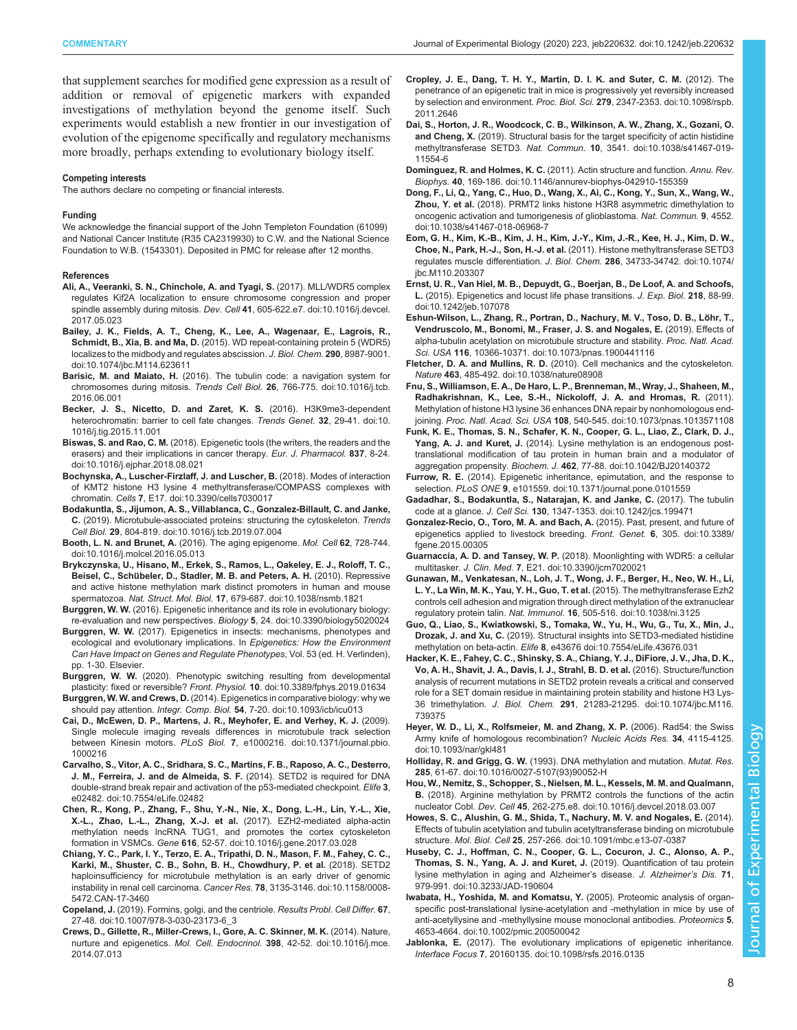<span id="page-7-0"></span>that supplement searches for modified gene expression as a result of addition or removal of epigenetic markers with expanded investigations of methylation beyond the genome itself. Such experiments would establish a new frontier in our investigation of evolution of the epigenome specifically and regulatory mechanisms more broadly, perhaps extending to evolutionary biology itself.

#### Competing interests

The authors declare no competing or financial interests.

#### Funding

We acknowledge the financial support of the John Templeton Foundation (61099) and National Cancer Institute (R35 CA2319930) to C.W. and the National Science Foundation to W.B. (1543301). Deposited in PMC for release after 12 months.

#### References

- [Ali, A., Veeranki, S. N., Chinchole, A. and Tyagi, S.](https://doi.org/10.1016/j.devcel.2017.05.023) (2017). MLL/WDR5 complex [regulates Kif2A localization to ensure chromosome congression and proper](https://doi.org/10.1016/j.devcel.2017.05.023) spindle assembly during mitosis. Dev. Cell 41[, 605-622.e7. doi:10.1016/j.devcel.](https://doi.org/10.1016/j.devcel.2017.05.023) [2017.05.023](https://doi.org/10.1016/j.devcel.2017.05.023)
- [Bailey, J. K., Fields, A. T., Cheng, K., Lee, A., Wagenaar, E., Lagrois, R.,](https://doi.org/10.1074/jbc.M114.623611) Schmidt, B., Xia, B. and Ma, D. [\(2015\). WD repeat-containing protein 5 \(WDR5\)](https://doi.org/10.1074/jbc.M114.623611) [localizes to the midbody and regulates abscission.](https://doi.org/10.1074/jbc.M114.623611) J. Biol. Chem. 290, 8987-9001. [doi:10.1074/jbc.M114.623611](https://doi.org/10.1074/jbc.M114.623611)
- Barisic, M. and Maiato, H. [\(2016\). The tubulin code: a navigation system for](https://doi.org/10.1016/j.tcb.2016.06.001) [chromosomes during mitosis.](https://doi.org/10.1016/j.tcb.2016.06.001) Trends Cell Biol. 26, 766-775. doi:10.1016/j.tcb. [2016.06.001](https://doi.org/10.1016/j.tcb.2016.06.001)
- [Becker, J. S., Nicetto, D. and Zaret, K. S.](https://doi.org/10.1016/j.tig.2015.11.001) (2016). H3K9me3-dependent [heterochromatin: barrier to cell fate changes.](https://doi.org/10.1016/j.tig.2015.11.001) Trends Genet. 32, 29-41. doi:10. [1016/j.tig.2015.11.001](https://doi.org/10.1016/j.tig.2015.11.001)
- Biswas, S. and Rao, C. M. [\(2018\). Epigenetic tools \(the writers, the readers and the](https://doi.org/10.1016/j.ejphar.2018.08.021) [erasers\) and their implications in cancer therapy.](https://doi.org/10.1016/j.ejphar.2018.08.021) Eur. J. Pharmacol. 837, 8-24. [doi:10.1016/j.ejphar.2018.08.021](https://doi.org/10.1016/j.ejphar.2018.08.021)
- [Bochynska, A., Luscher-Firzlaff, J. and Luscher, B.](https://doi.org/10.3390/cells7030017) (2018). Modes of interaction [of KMT2 histone H3 lysine 4 methyltransferase/COMPASS complexes with](https://doi.org/10.3390/cells7030017) chromatin. Cells 7[, E17. doi:10.3390/cells7030017](https://doi.org/10.3390/cells7030017)
- [Bodakuntla, S., Jijumon, A. S., Villablanca, C., Gonzalez-Billault, C. and Janke,](https://doi.org/10.1016/j.tcb.2019.07.004) C. [\(2019\). Microtubule-associated proteins: structuring the cytoskeleton.](https://doi.org/10.1016/j.tcb.2019.07.004) Trends Cell Biol. 29[, 804-819. doi:10.1016/j.tcb.2019.07.004](https://doi.org/10.1016/j.tcb.2019.07.004)
- Booth, L. N. and Brunet, A. [\(2016\). The aging epigenome.](https://doi.org/10.1016/j.molcel.2016.05.013) Mol. Cell 62, 728-744. [doi:10.1016/j.molcel.2016.05.013](https://doi.org/10.1016/j.molcel.2016.05.013)
- [Brykczynska, U., Hisano, M., Erkek, S., Ramos, L., Oakeley, E. J., Roloff, T. C.,](https://doi.org/10.1038/nsmb.1821) Beisel, C., Schü[beler, D., Stadler, M. B. and Peters, A. H.](https://doi.org/10.1038/nsmb.1821) (2010). Repressive [and active histone methylation mark distinct promoters in human and mouse](https://doi.org/10.1038/nsmb.1821) spermatozoa. Nat. Struct. Mol. Biol. 17[, 679-687. doi:10.1038/nsmb.1821](https://doi.org/10.1038/nsmb.1821)
- Burggren, W. W. [\(2016\). Epigenetic inheritance and its role in evolutionary biology:](https://doi.org/10.3390/biology5020024) [re-evaluation and new perspectives.](https://doi.org/10.3390/biology5020024) Biology 5, 24. doi:10.3390/biology5020024
- Burggren, W. W. (2017). Epigenetics in insects: mechanisms, phenotypes and ecological and evolutionary implications. In Epigenetics: How the Environment Can Have Impact on Genes and Regulate Phenotypes, Vol. 53 (ed. H. Verlinden), pp. 1-30. Elsevier.
- Burggren, W. W. [\(2020\). Phenotypic switching resulting from developmental](https://doi.org/10.3389/fphys.2019.01634) plasticity: fixed or reversible? Front. Physiol. 10[. doi:10.3389/fphys.2019.01634](https://doi.org/10.3389/fphys.2019.01634)
- Burggren, W. W. and Crews, D. [\(2014\). Epigenetics in comparative biology: why we](https://doi.org/10.1093/icb/icu013) should pay attention. Integr. Comp. Biol. 54[, 7-20. doi:10.1093/icb/icu013](https://doi.org/10.1093/icb/icu013)
- [Cai, D., McEwen, D. P., Martens, J. R., Meyhofer, E. and Verhey, K. J.](https://doi.org/10.1371/journal.pbio.1000216) (2009). [Single molecule imaging reveals differences in microtubule track selection](https://doi.org/10.1371/journal.pbio.1000216) between Kinesin motors. PLoS Biol. 7[, e1000216. doi:10.1371/journal.pbio.](https://doi.org/10.1371/journal.pbio.1000216) [1000216](https://doi.org/10.1371/journal.pbio.1000216)
- [Carvalho, S., Vitor, A. C., Sridhara, S. C., Martins, F. B., Raposo, A. C., Desterro,](https://doi.org/10.7554/eLife.02482) [J. M., Ferreira, J. and de Almeida, S. F.](https://doi.org/10.7554/eLife.02482) (2014). SETD2 is required for DNA [double-strand break repair and activation of the p53-mediated checkpoint.](https://doi.org/10.7554/eLife.02482) Elife 3, [e02482. doi:10.7554/eLife.02482](https://doi.org/10.7554/eLife.02482)
- [Chen, R., Kong, P., Zhang, F., Shu, Y.-N., Nie, X., Dong, L.-H., Lin, Y.-L., Xie,](https://doi.org/10.1016/j.gene.2017.03.028) [X.-L., Zhao, L.-L., Zhang, X.-J. et al.](https://doi.org/10.1016/j.gene.2017.03.028) (2017). EZH2-mediated alpha-actin [methylation needs lncRNA TUG1, and promotes the cortex cytoskeleton](https://doi.org/10.1016/j.gene.2017.03.028) formation in VSMCs. Gene 616[, 52-57. doi:10.1016/j.gene.2017.03.028](https://doi.org/10.1016/j.gene.2017.03.028)
- [Chiang, Y. C., Park, I. Y., Terzo, E. A., Tripathi, D. N., Mason, F. M., Fahey, C. C.,](https://doi.org/10.1158/0008-5472.CAN-17-3460) [Karki, M., Shuster, C. B., Sohn, B. H., Chowdhury, P. et al.](https://doi.org/10.1158/0008-5472.CAN-17-3460) (2018). SETD2 [haploinsufficiency for microtubule methylation is an early driver of genomic](https://doi.org/10.1158/0008-5472.CAN-17-3460) [instability in renal cell carcinoma.](https://doi.org/10.1158/0008-5472.CAN-17-3460) Cancer Res. 78, 3135-3146. doi:10.1158/0008- [5472.CAN-17-3460](https://doi.org/10.1158/0008-5472.CAN-17-3460)
- Copeland, J. [\(2019\). Formins, golgi, and the centriole.](https://doi.org/10.1007/978-3-030-23173-6_3) Results Probl. Cell Differ. 67, [27-48. doi:10.1007/978-3-030-23173-6\\_3](https://doi.org/10.1007/978-3-030-23173-6_3)
- [Crews, D., Gillette, R., Miller-Crews, I., Gore, A. C. Skinner, M. K.](https://doi.org/10.1016/j.mce.2014.07.013) (2014). Nature, nurture and epigenetics. Mol. Cell. Endocrinol. 398[, 42-52. doi:10.1016/j.mce.](https://doi.org/10.1016/j.mce.2014.07.013) [2014.07.013](https://doi.org/10.1016/j.mce.2014.07.013)
- [Cropley, J. E., Dang, T. H. Y., Martin, D. I. K. and Suter, C. M.](https://doi.org/10.1098/rspb.2011.2646) (2012). The [penetrance of an epigenetic trait in mice is progressively yet reversibly increased](https://doi.org/10.1098/rspb.2011.2646) by selection and environment. Proc. Biol. Sci. 279[, 2347-2353. doi:10.1098/rspb.](https://doi.org/10.1098/rspb.2011.2646) [2011.2646](https://doi.org/10.1098/rspb.2011.2646)
- [Dai, S., Horton, J. R., Woodcock, C. B., Wilkinson, A. W., Zhang, X., Gozani, O.](https://doi.org/10.1038/s41467-019-11554-6) and Cheng, X. [\(2019\). Structural basis for the target specificity of actin histidine](https://doi.org/10.1038/s41467-019-11554-6) methyltransferase SETD3. Nat. Commun. 10[, 3541. doi:10.1038/s41467-019-](https://doi.org/10.1038/s41467-019-11554-6) [11554-6](https://doi.org/10.1038/s41467-019-11554-6)
- Dominguez, R. and Holmes, K. C. [\(2011\). Actin structure and function.](https://doi.org/10.1146/annurev-biophys-042910-155359) Annu. Rev. Biophys. 40[, 169-186. doi:10.1146/annurev-biophys-042910-155359](https://doi.org/10.1146/annurev-biophys-042910-155359)
- [Dong, F., Li, Q., Yang, C., Huo, D., Wang, X., Ai, C., Kong, Y., Sun, X., Wang, W.,](https://doi.org/10.1038/s41467-018-06968-7) Zhou, Y. et al. [\(2018\). PRMT2 links histone H3R8 asymmetric dimethylation to](https://doi.org/10.1038/s41467-018-06968-7) [oncogenic activation and tumorigenesis of glioblastoma.](https://doi.org/10.1038/s41467-018-06968-7) Nat. Commun. 9, 4552. [doi:10.1038/s41467-018-06968-7](https://doi.org/10.1038/s41467-018-06968-7)
- [Eom, G. H., Kim, K.-B., Kim, J. H., Kim, J.-Y., Kim, J.-R., Kee, H. J., Kim, D. W.,](https://doi.org/10.1074/jbc.M110.203307) Choe, N., Park, H.-J., Son, H.-J. et al. [\(2011\). Histone methyltransferase SETD3](https://doi.org/10.1074/jbc.M110.203307) [regulates muscle differentiation.](https://doi.org/10.1074/jbc.M110.203307) J. Biol. Chem. 286, 34733-34742. doi:10.1074/ [jbc.M110.203307](https://doi.org/10.1074/jbc.M110.203307)
- [Ernst, U. R., Van Hiel, M. B., Depuydt, G., Boerjan, B., De Loof, A. and Schoofs,](https://doi.org/10.1242/jeb.107078) L. [\(2015\). Epigenetics and locust life phase transitions.](https://doi.org/10.1242/jeb.107078) J. Exp. Biol. 218, 88-99. [doi:10.1242/jeb.107078](https://doi.org/10.1242/jeb.107078)
- Eshun-Wilson, L., Zhang, R., Portran, D., Nachury, M. V., Toso, D. B., Löhr, T., [Vendruscolo, M., Bonomi, M., Fraser, J. S. and Nogales, E.](https://doi.org/10.1073/pnas.1900441116) (2019). Effects of [alpha-tubulin acetylation on microtubule structure and stability.](https://doi.org/10.1073/pnas.1900441116) Proc. Natl. Acad. Sci. USA 116[, 10366-10371. doi:10.1073/pnas.1900441116](https://doi.org/10.1073/pnas.1900441116)
- Fletcher, D. A. and Mullins, R. D. [\(2010\). Cell mechanics and the cytoskeleton.](https://doi.org/10.1038/nature08908) Nature 463[, 485-492. doi:10.1038/nature08908](https://doi.org/10.1038/nature08908)
- [Fnu, S., Williamson, E. A., De Haro, L. P., Brenneman, M., Wray, J., Shaheen, M.,](https://doi.org/10.1073/pnas.1013571108) [Radhakrishnan, K., Lee, S.-H., Nickoloff, J. A. and Hromas, R.](https://doi.org/10.1073/pnas.1013571108) (2011). [Methylation of histone H3 lysine 36 enhances DNA repair by nonhomologous end](https://doi.org/10.1073/pnas.1013571108)joining. Proc. Natl. Acad. Sci. USA 108[, 540-545. doi:10.1073/pnas.1013571108](https://doi.org/10.1073/pnas.1013571108)
- [Funk, K. E., Thomas, S. N., Schafer, K. N., Cooper, G. L., Liao, Z., Clark, D. J.,](https://doi.org/10.1042/BJ20140372) Yang, A. J. and Kuret, J. [\(2014\). Lysine methylation is an endogenous post](https://doi.org/10.1042/BJ20140372)[translational modification of tau protein in human brain and a modulator of](https://doi.org/10.1042/BJ20140372) aggregation propensity. Biochem. J. 462[, 77-88. doi:10.1042/BJ20140372](https://doi.org/10.1042/BJ20140372)
- Furrow, R. E. [\(2014\). Epigenetic inheritance, epimutation, and the response to](https://doi.org/10.1371/journal.pone.0101559) selection. PLoS ONE 9[, e101559. doi:10.1371/journal.pone.0101559](https://doi.org/10.1371/journal.pone.0101559)
- [Gadadhar, S., Bodakuntla, S., Natarajan, K. and Janke, C.](https://doi.org/10.1242/jcs.199471) (2017). The tubulin code at a glance. J. Cell Sci. 130[, 1347-1353. doi:10.1242/jcs.199471](https://doi.org/10.1242/jcs.199471)
- [Gonzalez-Recio, O., Toro, M. A. and Bach, A.](https://doi.org/10.3389/fgene.2015.00305) (2015). Past, present, and future of [epigenetics applied to livestock breeding.](https://doi.org/10.3389/fgene.2015.00305) Front. Genet. 6, 305. doi:10.3389/ [fgene.2015.00305](https://doi.org/10.3389/fgene.2015.00305)
- Guarnaccia, A. D. and Tansey, W. P. [\(2018\). Moonlighting with WDR5: a cellular](https://doi.org/10.3390/jcm7020021) multitasker. J. Clin. Med. 7[, E21. doi:10.3390/jcm7020021](https://doi.org/10.3390/jcm7020021)
- [Gunawan, M., Venkatesan, N., Loh, J. T., Wong, J. F., Berger, H., Neo, W. H., Li,](https://doi.org/10.1038/ni.3125) [L. Y., La Win, M. K., Yau, Y. H., Guo, T. et al.](https://doi.org/10.1038/ni.3125) (2015). The methyltransferase Ezh2 [controls cell adhesion and migration through direct methylation of the extranuclear](https://doi.org/10.1038/ni.3125) regulatory protein talin. Nat. Immunol. 16[, 505-516. doi:10.1038/ni.3125](https://doi.org/10.1038/ni.3125)
- [Guo, Q., Liao, S., Kwiatkowski, S., Tomaka, W., Yu, H., Wu, G., Tu, X., Min, J.,](https://doi.org/10.7554/eLife.43676.031) Drozak, J. and Xu, C. [\(2019\). Structural insights into SETD3-mediated histidine](https://doi.org/10.7554/eLife.43676.031) methylation on beta-actin. Elife 8[, e43676 doi:10.7554/eLife.43676.031](https://doi.org/10.7554/eLife.43676.031)
- [Hacker, K. E., Fahey, C. C., Shinsky, S. A., Chiang, Y. J., DiFiore, J. V., Jha, D. K.,](https://doi.org/10.1074/jbc.M116.739375) [Vo, A. H., Shavit, J. A., Davis, I. J., Strahl, B. D. et al.](https://doi.org/10.1074/jbc.M116.739375) (2016). Structure/function [analysis of recurrent mutations in SETD2 protein reveals a critical and conserved](https://doi.org/10.1074/jbc.M116.739375) [role for a SET domain residue in maintaining protein stability and histone H3 Lys-](https://doi.org/10.1074/jbc.M116.739375)36 trimethylation. J. Biol. Chem. 291[, 21283-21295. doi:10.1074/jbc.M116.](https://doi.org/10.1074/jbc.M116.739375) [739375](https://doi.org/10.1074/jbc.M116.739375)
- [Heyer, W. D., Li, X., Rolfsmeier, M. and Zhang, X. P.](https://doi.org/10.1093/nar/gkl481) (2006). Rad54: the Swiss [Army knife of homologous recombination?](https://doi.org/10.1093/nar/gkl481) Nucleic Acids Res. 34, 4115-4125. [doi:10.1093/nar/gkl481](https://doi.org/10.1093/nar/gkl481)
- Holliday, R. and Grigg, G. W. [\(1993\). DNA methylation and mutation.](https://doi.org/10.1016/0027-5107(93)90052-H) Mutat. Res. 285[, 61-67. doi:10.1016/0027-5107\(93\)90052-H](https://doi.org/10.1016/0027-5107(93)90052-H)
- [Hou, W., Nemitz, S., Schopper, S., Nielsen, M. L., Kessels, M. M. and Qualmann,](https://doi.org/10.1016/j.devcel.2018.03.007) B. [\(2018\). Arginine methylation by PRMT2 controls the functions of the actin](https://doi.org/10.1016/j.devcel.2018.03.007) nucleator Cobl. Dev. Cell 45[, 262-275.e8. doi:10.1016/j.devcel.2018.03.007](https://doi.org/10.1016/j.devcel.2018.03.007)
- [Howes, S. C., Alushin, G. M., Shida, T., Nachury, M. V. and Nogales, E.](https://doi.org/10.1091/mbc.e13-07-0387) (2014). [Effects of tubulin acetylation and tubulin acetyltransferase binding on microtubule](https://doi.org/10.1091/mbc.e13-07-0387) structure. Mol. Biol. Cell 25[, 257-266. doi:10.1091/mbc.e13-07-0387](https://doi.org/10.1091/mbc.e13-07-0387)
- [Huseby, C. J., Hoffman, C. N., Cooper, G. L., Cocuron, J. C., Alonso, A. P.,](https://doi.org/10.3233/JAD-190604) [Thomas, S. N., Yang, A. J. and Kuret, J.](https://doi.org/10.3233/JAD-190604) (2019). Quantification of tau protein [lysine methylation in aging and Alzheimer](https://doi.org/10.3233/JAD-190604)'s disease. J. Alzheimer's Dis. 71, [979-991. doi:10.3233/JAD-190604](https://doi.org/10.3233/JAD-190604)
- [Iwabata, H., Yoshida, M. and Komatsu, Y.](https://doi.org/10.1002/pmic.200500042) (2005). Proteomic analysis of organ[specific post-translational lysine-acetylation and -methylation in mice by use of](https://doi.org/10.1002/pmic.200500042) [anti-acetyllysine and -methyllysine mouse monoclonal antibodies.](https://doi.org/10.1002/pmic.200500042) Proteomics 5, [4653-4664. doi:10.1002/pmic.200500042](https://doi.org/10.1002/pmic.200500042)
- Jablonka, E. [\(2017\). The evolutionary implications of epigenetic inheritance.](https://doi.org/10.1098/rsfs.2016.0135) Interface Focus 7[, 20160135. doi:10.1098/rsfs.2016.0135](https://doi.org/10.1098/rsfs.2016.0135)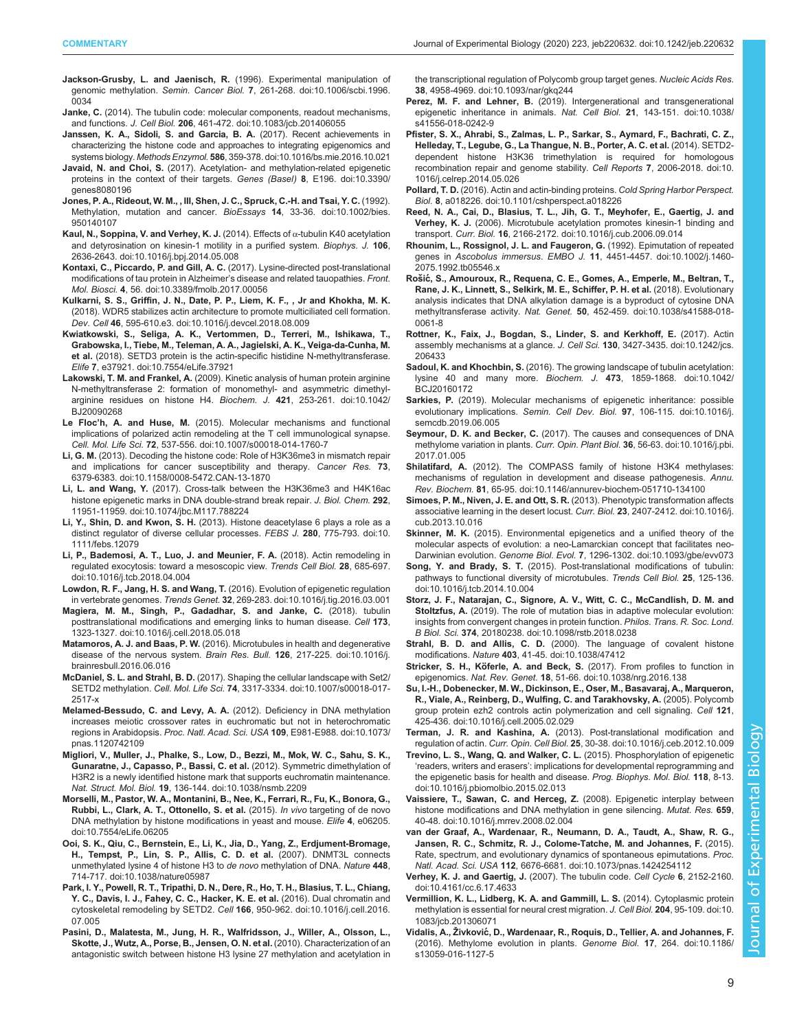- <span id="page-8-0"></span>[Jackson-Grusby, L. and Jaenisch, R.](https://doi.org/10.1006/scbi.1996.0034) (1996). Experimental manipulation of genomic methylation. Semin. Cancer Biol. 7[, 261-268. doi:10.1006/scbi.1996.](https://doi.org/10.1006/scbi.1996.0034) [0034](https://doi.org/10.1006/scbi.1996.0034)
- Janke, C. [\(2014\). The tubulin code: molecular components, readout mechanisms,](https://doi.org/10.1083/jcb.201406055) and functions. J. Cell Biol. 206[, 461-472. doi:10.1083/jcb.201406055](https://doi.org/10.1083/jcb.201406055)
- [Janssen, K. A., Sidoli, S. and Garcia, B. A.](https://doi.org/10.1016/bs.mie.2016.10.021) (2017). Recent achievements in [characterizing the histone code and approaches to integrating epigenomics and](https://doi.org/10.1016/bs.mie.2016.10.021) systems biology. Methods Enzymol. 586[, 359-378. doi:10.1016/bs.mie.2016.10.021](https://doi.org/10.1016/bs.mie.2016.10.021)
- Javaid, N. and Choi, S. [\(2017\). Acetylation- and methylation-related epigenetic](https://doi.org/10.3390/genes8080196) [proteins in the context of their targets.](https://doi.org/10.3390/genes8080196) Genes (Basel) 8, E196. doi:10.3390/ [genes8080196](https://doi.org/10.3390/genes8080196)
- [Jones, P. A., Rideout, W. M., , III, Shen, J. C., Spruck, C.-H. and Tsai, Y. C.](https://doi.org/10.1002/bies.950140107) (1992). [Methylation, mutation and cancer.](https://doi.org/10.1002/bies.950140107) BioEssays 14, 33-36. doi:10.1002/bies. [950140107](https://doi.org/10.1002/bies.950140107)
- [Kaul, N., Soppina, V. and Verhey, K. J.](https://doi.org/10.1016/j.bpj.2014.05.008) (2014). Effects of α-tubulin K40 acetylation [and detyrosination on kinesin-1 motility in a purified system.](https://doi.org/10.1016/j.bpj.2014.05.008) Biophys. J. 106, [2636-2643. doi:10.1016/j.bpj.2014.05.008](https://doi.org/10.1016/j.bpj.2014.05.008)
- [Kontaxi, C., Piccardo, P. and Gill, A. C.](https://doi.org/10.3389/fmolb.2017.00056) (2017). Lysine-directed post-translational [modifications of tau protein in Alzheimer](https://doi.org/10.3389/fmolb.2017.00056)'s disease and related tauopathies. Front. Mol. Biosci. 4[, 56. doi:10.3389/fmolb.2017.00056](https://doi.org/10.3389/fmolb.2017.00056)
- [Kulkarni, S. S., Griffin, J. N., Date, P. P., Liem, K. F., , Jr and Khokha, M. K.](https://doi.org/10.1016/j.devcel.2018.08.009) [\(2018\). WDR5 stabilizes actin architecture to promote multiciliated cell formation.](https://doi.org/10.1016/j.devcel.2018.08.009) Dev. Cell 46[, 595-610.e3. doi:10.1016/j.devcel.2018.08.009](https://doi.org/10.1016/j.devcel.2018.08.009)
- [Kwiatkowski, S., Seliga, A. K., Vertommen, D., Terreri, M., Ishikawa, T.,](https://doi.org/10.7554/eLife.37921) [Grabowska, I., Tiebe, M., Teleman, A. A., Jagielski, A. K., Veiga-da-Cunha, M.](https://doi.org/10.7554/eLife.37921) et al. [\(2018\). SETD3 protein is the actin-specific histidine N-methyltransferase.](https://doi.org/10.7554/eLife.37921) Elife 7[, e37921. doi:10.7554/eLife.37921](https://doi.org/10.7554/eLife.37921)
- Lakowski, T. M. and Frankel, A. [\(2009\). Kinetic analysis of human protein arginine](https://doi.org/10.1042/BJ20090268) [N-methyltransferase 2: formation of monomethyl- and asymmetric dimethyl](https://doi.org/10.1042/BJ20090268)[arginine residues on histone H4.](https://doi.org/10.1042/BJ20090268) Biochem. J. 421, 253-261. doi:10.1042/ [BJ20090268](https://doi.org/10.1042/BJ20090268)
- Le Floc'h, A. and Huse, M. [\(2015\). Molecular mechanisms and functional](https://doi.org/10.1007/s00018-014-1760-7) [implications of polarized actin remodeling at the T cell immunological synapse.](https://doi.org/10.1007/s00018-014-1760-7) Cell. Mol. Life Sci. 72[, 537-556. doi:10.1007/s00018-014-1760-7](https://doi.org/10.1007/s00018-014-1760-7)
- Li, G. M. [\(2013\). Decoding the histone code: Role of H3K36me3 in mismatch repair](https://doi.org/10.1158/0008-5472.CAN-13-1870) [and implications for cancer susceptibility and therapy.](https://doi.org/10.1158/0008-5472.CAN-13-1870) Cancer Res. 73, [6379-6383. doi:10.1158/0008-5472.CAN-13-1870](https://doi.org/10.1158/0008-5472.CAN-13-1870)
- Li, L. and Wang, Y. [\(2017\). Cross-talk between the H3K36me3 and H4K16ac](https://doi.org/10.1074/jbc.M117.788224) [histone epigenetic marks in DNA double-strand break repair.](https://doi.org/10.1074/jbc.M117.788224) J. Biol. Chem. 292, [11951-11959. doi:10.1074/jbc.M117.788224](https://doi.org/10.1074/jbc.M117.788224)
- Li, Y., Shin, D. and Kwon, S. H. [\(2013\). Histone deacetylase 6 plays a role as a](https://doi.org/10.1111/febs.12079) [distinct regulator of diverse cellular processes.](https://doi.org/10.1111/febs.12079) FEBS J. 280, 775-793. doi:10. [1111/febs.12079](https://doi.org/10.1111/febs.12079)
- [Li, P., Bademosi, A. T., Luo, J. and Meunier, F. A.](https://doi.org/10.1016/j.tcb.2018.04.004) (2018). Actin remodeling in [regulated exocytosis: toward a mesoscopic view.](https://doi.org/10.1016/j.tcb.2018.04.004) Trends Cell Biol. 28, 685-697. [doi:10.1016/j.tcb.2018.04.004](https://doi.org/10.1016/j.tcb.2018.04.004)
- [Lowdon, R. F., Jang, H. S. and Wang, T.](https://doi.org/10.1016/j.tig.2016.03.001) (2016). Evolution of epigenetic regulation in vertebrate genomes. Trends Genet. 32[, 269-283. doi:10.1016/j.tig.2016.03.001](https://doi.org/10.1016/j.tig.2016.03.001)
- [Magiera, M. M., Singh, P., Gadadhar, S. and Janke, C.](https://doi.org/10.1016/j.cell.2018.05.018) (2018). tubulin [posttranslational modifications and emerging links to human disease.](https://doi.org/10.1016/j.cell.2018.05.018) Cell 173, [1323-1327. doi:10.1016/j.cell.2018.05.018](https://doi.org/10.1016/j.cell.2018.05.018)
- Matamoros, A. J. and Baas, P. W. [\(2016\). Microtubules in health and degenerative](https://doi.org/10.1016/j.brainresbull.2016.06.016) [disease of the nervous system.](https://doi.org/10.1016/j.brainresbull.2016.06.016) Brain Res. Bull. 126, 217-225. doi:10.1016/j. [brainresbull.2016.06.016](https://doi.org/10.1016/j.brainresbull.2016.06.016)
- McDaniel, S. L. and Strahl, B. D. [\(2017\). Shaping the cellular landscape with Set2/](https://doi.org/10.1007/s00018-017-2517-x) SETD2 methylation. Cell. Mol. Life Sci. 74[, 3317-3334. doi:10.1007/s00018-017-](https://doi.org/10.1007/s00018-017-2517-x) [2517-x](https://doi.org/10.1007/s00018-017-2517-x)
- [Melamed-Bessudo, C. and Levy, A. A.](https://doi.org/10.1073/pnas.1120742109) (2012). Deficiency in DNA methylation [increases meiotic crossover rates in euchromatic but not in heterochromatic](https://doi.org/10.1073/pnas.1120742109) regions in Arabidopsis. [Proc. Natl. Acad. Sci. USA](https://doi.org/10.1073/pnas.1120742109) 109, E981-E988. doi:10.1073/ [pnas.1120742109](https://doi.org/10.1073/pnas.1120742109)
- [Migliori, V., Muller, J., Phalke, S., Low, D., Bezzi, M., Mok, W. C., Sahu, S. K.,](https://doi.org/10.1038/nsmb.2209) [Gunaratne, J., Capasso, P., Bassi, C. et al.](https://doi.org/10.1038/nsmb.2209) (2012). Symmetric dimethylation of [H3R2 is a newly identified histone mark that supports euchromatin maintenance.](https://doi.org/10.1038/nsmb.2209) Nat. Struct. Mol. Biol. 19[, 136-144. doi:10.1038/nsmb.2209](https://doi.org/10.1038/nsmb.2209)
- [Morselli, M., Pastor, W. A., Montanini, B., Nee, K., Ferrari, R., Fu, K., Bonora, G.,](https://doi.org/10.7554/eLife.06205) [Rubbi, L., Clark, A. T., Ottonello, S. et al.](https://doi.org/10.7554/eLife.06205) (2015). In vivo targeting of de novo [DNA methylation by histone modifications in yeast and mouse.](https://doi.org/10.7554/eLife.06205) Elife 4, e06205. [doi:10.7554/eLife.06205](https://doi.org/10.7554/eLife.06205)
- [Ooi, S. K., Qiu, C., Bernstein, E., Li, K., Jia, D., Yang, Z., Erdjument-Bromage,](https://doi.org/10.1038/nature05987) [H., Tempst, P., Lin, S. P., Allis, C. D. et al.](https://doi.org/10.1038/nature05987) (2007). DNMT3L connects [unmethylated lysine 4 of histone H3 to](https://doi.org/10.1038/nature05987) de novo methylation of DNA. Nature 448, [714-717. doi:10.1038/nature05987](https://doi.org/10.1038/nature05987)
- [Park, I. Y., Powell, R. T., Tripathi, D. N., Dere, R., Ho, T. H., Blasius, T. L., Chiang,](https://doi.org/10.1016/j.cell.2016.07.005) [Y. C., Davis, I. J., Fahey, C. C., Hacker, K. E. et al.](https://doi.org/10.1016/j.cell.2016.07.005) (2016). Dual chromatin and [cytoskeletal remodeling by SETD2.](https://doi.org/10.1016/j.cell.2016.07.005) Cell 166, 950-962. doi:10.1016/j.cell.2016. [07.005](https://doi.org/10.1016/j.cell.2016.07.005)
- [Pasini, D., Malatesta, M., Jung, H. R., Walfridsson, J., Willer, A., Olsson, L.,](https://doi.org/10.1093/nar/gkq244) [Skotte, J., Wutz, A., Porse, B., Jensen, O. N. et al.](https://doi.org/10.1093/nar/gkq244) (2010). Characterization of an [antagonistic switch between histone H3 lysine 27 methylation and acetylation in](https://doi.org/10.1093/nar/gkq244)

[the transcriptional regulation of Polycomb group target genes.](https://doi.org/10.1093/nar/gkq244) Nucleic Acids Res. 38[, 4958-4969. doi:10.1093/nar/gkq244](https://doi.org/10.1093/nar/gkq244)

- Perez, M. F. and Lehner, B. [\(2019\). Intergenerational and transgenerational](https://doi.org/10.1038/s41556-018-0242-9) [epigenetic inheritance in animals.](https://doi.org/10.1038/s41556-018-0242-9) Nat. Cell Biol. 21, 143-151. doi:10.1038/ [s41556-018-0242-9](https://doi.org/10.1038/s41556-018-0242-9)
- [Pfister, S. X., Ahrabi, S., Zalmas, L. P., Sarkar, S., Aymard, F., Bachrati, C. Z.,](https://doi.org/10.1016/j.celrep.2014.05.026) [Helleday, T., Legube, G., La Thangue, N. B., Porter, A. C. et al.](https://doi.org/10.1016/j.celrep.2014.05.026) (2014). SETD2 [dependent histone H3K36 trimethylation is required for homologous](https://doi.org/10.1016/j.celrep.2014.05.026) [recombination repair and genome stability.](https://doi.org/10.1016/j.celrep.2014.05.026) Cell Reports 7, 2006-2018. doi:10. [1016/j.celrep.2014.05.026](https://doi.org/10.1016/j.celrep.2014.05.026)
- Pollard, T. D. [\(2016\). Actin and actin-binding proteins.](https://doi.org/10.1101/cshperspect.a018226) Cold Spring Harbor Perspect. Biol. 8[, a018226. doi:10.1101/cshperspect.a018226](https://doi.org/10.1101/cshperspect.a018226)
- [Reed, N. A., Cai, D., Blasius, T. L., Jih, G. T., Meyhofer, E., Gaertig, J. and](https://doi.org/10.1016/j.cub.2006.09.014) Verhey, K. J. [\(2006\). Microtubule acetylation promotes kinesin-1 binding and](https://doi.org/10.1016/j.cub.2006.09.014) transport. Curr. Biol. 16[, 2166-2172. doi:10.1016/j.cub.2006.09.014](https://doi.org/10.1016/j.cub.2006.09.014)
- [Rhounim, L., Rossignol, J. L. and Faugeron, G.](https://doi.org/10.1002/j.1460-2075.1992.tb05546.x) (1992). Epimutation of repeated genes in Ascobolus immersus. EMBO J. 11[, 4451-4457. doi:10.1002/j.1460-](https://doi.org/10.1002/j.1460-2075.1992.tb05546.x) [2075.1992.tb05546.x](https://doi.org/10.1002/j.1460-2075.1992.tb05546.x)
- Rošić[, S., Amouroux, R., Requena, C. E., Gomes, A., Emperle, M., Beltran, T.,](https://doi.org/10.1038/s41588-018-0061-8) [Rane, J. K., Linnett, S., Selkirk, M. E., Schiffer, P. H. et al.](https://doi.org/10.1038/s41588-018-0061-8) (2018). Evolutionary [analysis indicates that DNA alkylation damage is a byproduct of cytosine DNA](https://doi.org/10.1038/s41588-018-0061-8) methyltransferase activity. Nat. Genet. 50[, 452-459. doi:10.1038/s41588-018-](https://doi.org/10.1038/s41588-018-0061-8) [0061-8](https://doi.org/10.1038/s41588-018-0061-8)
- [Rottner, K., Faix, J., Bogdan, S., Linder, S. and Kerkhoff, E.](https://doi.org/10.1242/jcs.206433) (2017). Actin [assembly mechanisms at a glance.](https://doi.org/10.1242/jcs.206433) J. Cell Sci. 130, 3427-3435. doi:10.1242/jcs. [206433](https://doi.org/10.1242/jcs.206433)
- Sadoul, K. and Khochbin, S. [\(2016\). The growing landscape of tubulin acetylation:](https://doi.org/10.1042/BCJ20160172) [lysine 40 and many more.](https://doi.org/10.1042/BCJ20160172) Biochem. J. 473, 1859-1868. doi:10.1042/ [BCJ20160172](https://doi.org/10.1042/BCJ20160172)
- Sarkies, P. [\(2019\). Molecular mechanisms of epigenetic inheritance: possible](https://doi.org/10.1016/j.semcdb.2019.06.005) [evolutionary implications.](https://doi.org/10.1016/j.semcdb.2019.06.005) Semin. Cell Dev. Biol. 97, 106-115. doi:10.1016/j. [semcdb.2019.06.005](https://doi.org/10.1016/j.semcdb.2019.06.005)
- Seymour, D. K. and Becker, C. [\(2017\). The causes and consequences of DNA](https://doi.org/10.1016/j.pbi.2017.01.005) [methylome variation in plants.](https://doi.org/10.1016/j.pbi.2017.01.005) Curr. Opin. Plant Biol. 36, 56-63. doi:10.1016/j.pbi. [2017.01.005](https://doi.org/10.1016/j.pbi.2017.01.005)
- Shilatifard, A. [\(2012\). The COMPASS family of histone H3K4 methylases:](https://doi.org/10.1146/annurev-biochem-051710-134100) [mechanisms of regulation in development and disease pathogenesis.](https://doi.org/10.1146/annurev-biochem-051710-134100) Annu. Rev. Biochem. 81[, 65-95. doi:10.1146/annurev-biochem-051710-134100](https://doi.org/10.1146/annurev-biochem-051710-134100)
- [Simoes, P. M., Niven, J. E. and Ott, S. R.](https://doi.org/10.1016/j.cub.2013.10.016) (2013). Phenotypic transformation affects [associative learning in the desert locust.](https://doi.org/10.1016/j.cub.2013.10.016) Curr. Biol. 23, 2407-2412. doi:10.1016/j. [cub.2013.10.016](https://doi.org/10.1016/j.cub.2013.10.016)
- Skinner, M. K. [\(2015\). Environmental epigenetics and a unified theory of the](https://doi.org/10.1093/gbe/evv073) [molecular aspects of evolution: a neo-Lamarckian concept that facilitates neo-](https://doi.org/10.1093/gbe/evv073)Darwinian evolution. Genome Biol. Evol. 7[, 1296-1302. doi:10.1093/gbe/evv073](https://doi.org/10.1093/gbe/evv073)
- Song, Y. and Brady, S. T. [\(2015\). Post-translational modifications of tubulin:](https://doi.org/10.1016/j.tcb.2014.10.004) [pathways to functional diversity of microtubules.](https://doi.org/10.1016/j.tcb.2014.10.004) Trends Cell Biol. 25, 125-136. [doi:10.1016/j.tcb.2014.10.004](https://doi.org/10.1016/j.tcb.2014.10.004)
- [Storz, J. F., Natarajan, C., Signore, A. V., Witt, C. C., McCandlish, D. M. and](https://doi.org/10.1098/rstb.2018.0238) Stoltzfus, A. [\(2019\). The role of mutation bias in adaptive molecular evolution:](https://doi.org/10.1098/rstb.2018.0238) [insights from convergent changes in protein function.](https://doi.org/10.1098/rstb.2018.0238) Philos. Trans. R. Soc. Lond. B Biol. Sci. 374[, 20180238. doi:10.1098/rstb.2018.0238](https://doi.org/10.1098/rstb.2018.0238)
- Strahl, B. D. and Allis, C. D. [\(2000\). The language of covalent histone](https://doi.org/10.1038/47412) modifications. Nature 403[, 41-45. doi:10.1038/47412](https://doi.org/10.1038/47412)
- Stricker, S. H., Köferle, A. and Beck, S. [\(2017\). From profiles to function in](https://doi.org/10.1038/nrg.2016.138) epigenomics. Nat. Rev. Genet. 18[, 51-66. doi:10.1038/nrg.2016.138](https://doi.org/10.1038/nrg.2016.138)
- [Su, I.-H., Dobenecker, M. W., Dickinson, E., Oser, M., Basavaraj, A., Marqueron,](https://doi.org/10.1016/j.cell.2005.02.029) [R., Viale, A., Reinberg, D., Wulfing, C. and Tarakhovsky, A.](https://doi.org/10.1016/j.cell.2005.02.029) (2005). Polycomb [group protein ezh2 controls actin polymerization and cell signaling.](https://doi.org/10.1016/j.cell.2005.02.029) Cell 121, [425-436. doi:10.1016/j.cell.2005.02.029](https://doi.org/10.1016/j.cell.2005.02.029)
- Terman, J. R. and Kashina, A. [\(2013\). Post-translational modification and](https://doi.org/10.1016/j.ceb.2012.10.009) regulation of actin. Curr. Opin. Cell Biol. 25[, 30-38. doi:10.1016/j.ceb.2012.10.009](https://doi.org/10.1016/j.ceb.2012.10.009)
- [Trevino, L. S., Wang, Q. and Walker, C. L.](https://doi.org/10.1016/j.pbiomolbio.2015.02.013) (2015). Phosphorylation of epigenetic 'readers, writers and erasers'[: implications for developmental reprogramming and](https://doi.org/10.1016/j.pbiomolbio.2015.02.013) [the epigenetic basis for health and disease.](https://doi.org/10.1016/j.pbiomolbio.2015.02.013) Prog. Biophys. Mol. Biol. 118, 8-13. [doi:10.1016/j.pbiomolbio.2015.02.013](https://doi.org/10.1016/j.pbiomolbio.2015.02.013)
- [Vaissiere, T., Sawan, C. and Herceg, Z.](https://doi.org/10.1016/j.mrrev.2008.02.004) (2008). Epigenetic interplay between [histone modifications and DNA methylation in gene silencing.](https://doi.org/10.1016/j.mrrev.2008.02.004) Mutat. Res. 659, [40-48. doi:10.1016/j.mrrev.2008.02.004](https://doi.org/10.1016/j.mrrev.2008.02.004)
- [van der Graaf, A., Wardenaar, R., Neumann, D. A., Taudt, A., Shaw, R. G.,](https://doi.org/10.1073/pnas.1424254112) [Jansen, R. C., Schmitz, R. J., Colome-Tatche, M. and Johannes, F.](https://doi.org/10.1073/pnas.1424254112) (2015). [Rate, spectrum, and evolutionary dynamics of spontaneous epimutations.](https://doi.org/10.1073/pnas.1424254112) Proc. Natl. Acad. Sci. USA 112[, 6676-6681. doi:10.1073/pnas.1424254112](https://doi.org/10.1073/pnas.1424254112)
- [Verhey, K. J. and Gaertig, J.](https://doi.org/10.4161/cc.6.17.4633) (2007). The tubulin code. Cell Cycle 6, 2152-2160. [doi:10.4161/cc.6.17.4633](https://doi.org/10.4161/cc.6.17.4633)
- [Vermillion, K. L., Lidberg, K. A. and Gammill, L. S.](https://doi.org/10.1083/jcb.201306071) (2014). Cytoplasmic protein [methylation is essential for neural crest migration.](https://doi.org/10.1083/jcb.201306071) J. Cell Biol. 204, 95-109. doi:10. [1083/jcb.201306071](https://doi.org/10.1083/jcb.201306071)
- Vidalis, A., Živković[, D., Wardenaar, R., Roquis, D., Tellier, A. and Johannes, F.](https://doi.org/10.1186/s13059-016-1127-5) [\(2016\). Methylome evolution in plants.](https://doi.org/10.1186/s13059-016-1127-5) Genome Biol. 17, 264. doi:10.1186/ [s13059-016-1127-5](https://doi.org/10.1186/s13059-016-1127-5)